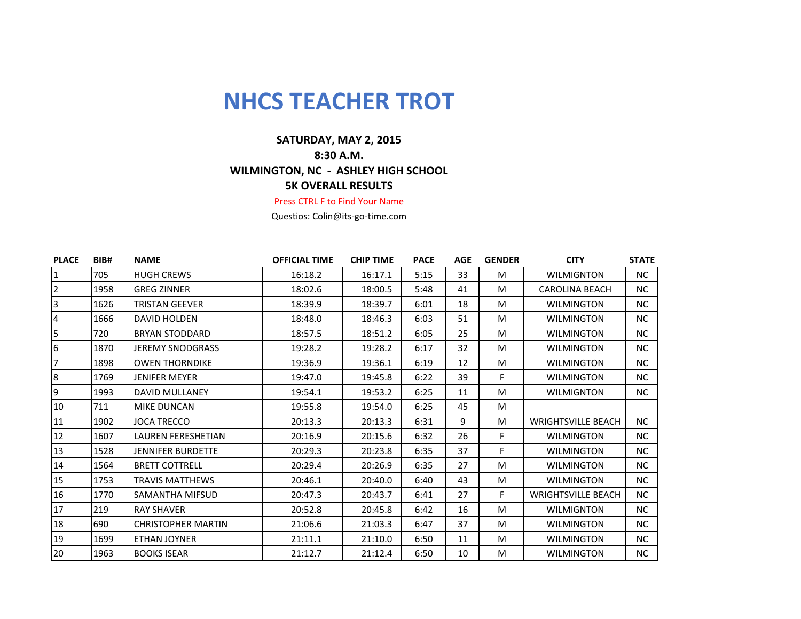## **NHCS TEACHER TROT**

## **5K OVERALL RESULTS SATURDAY, MAY 2, 2015 8:30 A.M. WILMINGTON, NC - ASHLEY HIGH SCHOOL**

## Press CTRL F to Find Your Name

Questios: Colin@its-go-time.com

| <b>PLACE</b>   | BIB# | <b>NAME</b>               | <b>OFFICIAL TIME</b> | <b>CHIP TIME</b> | <b>PACE</b> | <b>AGE</b> | <b>GENDER</b> | <b>CITY</b>               | <b>STATE</b> |
|----------------|------|---------------------------|----------------------|------------------|-------------|------------|---------------|---------------------------|--------------|
| 1              | 705  | <b>HUGH CREWS</b>         | 16:18.2              | 16:17.1          | 5:15        | 33         | M             | <b>WILMIGNTON</b>         | NC.          |
| $\overline{2}$ | 1958 | <b>GREG ZINNER</b>        | 18:02.6              | 18:00.5          | 5:48        | 41         | M             | <b>CAROLINA BEACH</b>     | NC           |
| 3              | 1626 | <b>TRISTAN GEEVER</b>     | 18:39.9              | 18:39.7          | 6:01        | 18         | M             | <b>WILMINGTON</b>         | <b>NC</b>    |
| 4              | 1666 | <b>DAVID HOLDEN</b>       | 18:48.0              | 18:46.3          | 6:03        | 51         | M             | <b>WILMINGTON</b>         | NC           |
| 5              | 720  | <b>BRYAN STODDARD</b>     | 18:57.5              | 18:51.2          | 6:05        | 25         | M             | <b>WILMINGTON</b>         | NC           |
| 6              | 1870 | <b>JEREMY SNODGRASS</b>   | 19:28.2              | 19:28.2          | 6:17        | 32         | M             | <b>WILMINGTON</b>         | <b>NC</b>    |
| 7              | 1898 | <b>OWEN THORNDIKE</b>     | 19:36.9              | 19:36.1          | 6:19        | 12         | M             | <b>WILMINGTON</b>         | NC           |
| 8              | 1769 | <b>JENIFER MEYER</b>      | 19:47.0              | 19:45.8          | 6:22        | 39         | F             | <b>WILMINGTON</b>         | <b>NC</b>    |
| 9              | 1993 | <b>DAVID MULLANEY</b>     | 19:54.1              | 19:53.2          | 6:25        | 11         | M             | <b>WILMIGNTON</b>         | NC           |
| 10             | 711  | <b>MIKE DUNCAN</b>        | 19:55.8              | 19:54.0          | 6:25        | 45         | M             |                           |              |
| 11             | 1902 | <b>JOCA TRECCO</b>        | 20:13.3              | 20:13.3          | 6:31        | 9          | M             | <b>WRIGHTSVILLE BEACH</b> | NC.          |
| 12             | 1607 | LAUREN FERESHETIAN        | 20:16.9              | 20:15.6          | 6:32        | 26         | F             | <b>WILMINGTON</b>         | NC           |
| 13             | 1528 | <b>JENNIFER BURDETTE</b>  | 20:29.3              | 20:23.8          | 6:35        | 37         | F             | <b>WILMINGTON</b>         | <b>NC</b>    |
| 14             | 1564 | <b>BRETT COTTRELL</b>     | 20:29.4              | 20:26.9          | 6:35        | 27         | M             | <b>WILMINGTON</b>         | NC           |
| 15             | 1753 | <b>TRAVIS MATTHEWS</b>    | 20:46.1              | 20:40.0          | 6:40        | 43         | M             | <b>WILMINGTON</b>         | NC           |
| 16             | 1770 | <b>SAMANTHA MIFSUD</b>    | 20:47.3              | 20:43.7          | 6:41        | 27         | F.            | <b>WRIGHTSVILLE BEACH</b> | NC           |
| 17             | 219  | <b>RAY SHAVER</b>         | 20:52.8              | 20:45.8          | 6:42        | 16         | M             | <b>WILMIGNTON</b>         | NC           |
| 18             | 690  | <b>CHRISTOPHER MARTIN</b> | 21:06.6              | 21:03.3          | 6:47        | 37         | M             | <b>WILMINGTON</b>         | <b>NC</b>    |
| 19             | 1699 | <b>ETHAN JOYNER</b>       | 21:11.1              | 21:10.0          | 6:50        | 11         | M             | <b>WILMINGTON</b>         | NC           |
| 20             | 1963 | <b>BOOKS ISEAR</b>        | 21:12.7              | 21:12.4          | 6:50        | 10         | M             | <b>WILMINGTON</b>         | NC.          |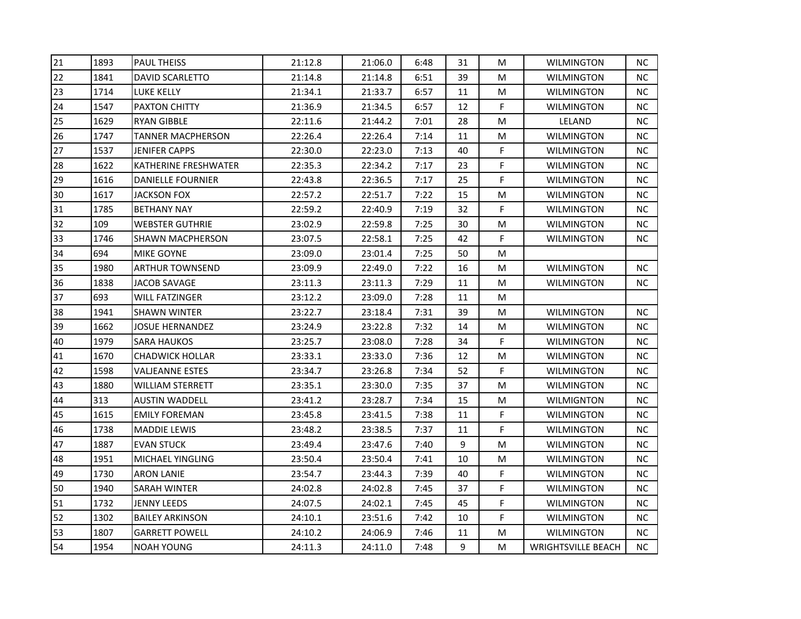| 21 | 1893 | <b>PAUL THEISS</b>       | 21:12.8 | 21:06.0 | 6:48 | 31 | M           | <b>WILMINGTON</b>         | <b>NC</b> |
|----|------|--------------------------|---------|---------|------|----|-------------|---------------------------|-----------|
| 22 | 1841 | <b>DAVID SCARLETTO</b>   | 21:14.8 | 21:14.8 | 6:51 | 39 | M           | <b>WILMINGTON</b>         | NC.       |
| 23 | 1714 | LUKE KELLY               | 21:34.1 | 21:33.7 | 6:57 | 11 | M           | <b>WILMINGTON</b>         | NC        |
| 24 | 1547 | <b>PAXTON CHITTY</b>     | 21:36.9 | 21:34.5 | 6:57 | 12 | E           | <b>WILMINGTON</b>         | <b>NC</b> |
| 25 | 1629 | RYAN GIBBLE              | 22:11.6 | 21:44.2 | 7:01 | 28 | M           | LELAND                    | <b>NC</b> |
| 26 | 1747 | TANNER MACPHERSON        | 22:26.4 | 22:26.4 | 7:14 | 11 | M           | WILMINGTON                | NC.       |
| 27 | 1537 | <b>JENIFER CAPPS</b>     | 22:30.0 | 22:23.0 | 7:13 | 40 | F           | <b>WILMINGTON</b>         | NC.       |
| 28 | 1622 | KATHERINE FRESHWATER     | 22:35.3 | 22:34.2 | 7:17 | 23 | F           | <b>WILMINGTON</b>         | NC        |
| 29 | 1616 | <b>DANIELLE FOURNIER</b> | 22:43.8 | 22:36.5 | 7:17 | 25 | F           | <b>WILMINGTON</b>         | <b>NC</b> |
| 30 | 1617 | <b>JACKSON FOX</b>       | 22:57.2 | 22:51.7 | 7:22 | 15 | M           | <b>WILMINGTON</b>         | <b>NC</b> |
| 31 | 1785 | <b>BETHANY NAY</b>       | 22:59.2 | 22:40.9 | 7:19 | 32 | F           | <b>WILMINGTON</b>         | NC.       |
| 32 | 109  | <b>WEBSTER GUTHRIE</b>   | 23:02.9 | 22:59.8 | 7:25 | 30 | M           | <b>WILMINGTON</b>         | NC.       |
| 33 | 1746 | <b>SHAWN MACPHERSON</b>  | 23:07.5 | 22:58.1 | 7:25 | 42 | $\mathsf F$ | <b>WILMINGTON</b>         | <b>NC</b> |
| 34 | 694  | <b>MIKE GOYNE</b>        | 23:09.0 | 23:01.4 | 7:25 | 50 | M           |                           |           |
| 35 | 1980 | <b>ARTHUR TOWNSEND</b>   | 23:09.9 | 22:49.0 | 7:22 | 16 | M           | <b>WILMINGTON</b>         | NC.       |
| 36 | 1838 | JACOB SAVAGE             | 23:11.3 | 23:11.3 | 7:29 | 11 | M           | WILMINGTON                | NC.       |
| 37 | 693  | WILL FATZINGER           | 23:12.2 | 23:09.0 | 7:28 | 11 | M           |                           |           |
| 38 | 1941 | <b>SHAWN WINTER</b>      | 23:22.7 | 23:18.4 | 7:31 | 39 | M           | <b>WILMINGTON</b>         | NC.       |
| 39 | 1662 | <b>JOSUE HERNANDEZ</b>   | 23:24.9 | 23:22.8 | 7:32 | 14 | M           | <b>WILMINGTON</b>         | <b>NC</b> |
| 40 | 1979 | <b>SARA HAUKOS</b>       | 23:25.7 | 23:08.0 | 7:28 | 34 | F           | <b>WILMINGTON</b>         | <b>NC</b> |
| 41 | 1670 | CHADWICK HOLLAR          | 23:33.1 | 23:33.0 | 7:36 | 12 | M           | <b>WILMINGTON</b>         | <b>NC</b> |
| 42 | 1598 | <b>VALJEANNE ESTES</b>   | 23:34.7 | 23:26.8 | 7:34 | 52 | F           | <b>WILMINGTON</b>         | <b>NC</b> |
| 43 | 1880 | <b>WILLIAM STERRETT</b>  | 23:35.1 | 23:30.0 | 7:35 | 37 | M           | <b>WILMINGTON</b>         | <b>NC</b> |
| 44 | 313  | <b>AUSTIN WADDELL</b>    | 23:41.2 | 23:28.7 | 7:34 | 15 | M           | WILMIGNTON                | <b>NC</b> |
| 45 | 1615 | <b>EMILY FOREMAN</b>     | 23:45.8 | 23:41.5 | 7:38 | 11 | F           | <b>WILMINGTON</b>         | <b>NC</b> |
| 46 | 1738 | MADDIE LEWIS             | 23:48.2 | 23:38.5 | 7:37 | 11 | $\mathsf F$ | <b>WILMINGTON</b>         | NC.       |
| 47 | 1887 | <b>EVAN STUCK</b>        | 23:49.4 | 23:47.6 | 7:40 | 9  | M           | <b>WILMINGTON</b>         | <b>NC</b> |
| 48 | 1951 | MICHAEL YINGLING         | 23:50.4 | 23:50.4 | 7:41 | 10 | M           | <b>WILMINGTON</b>         | <b>NC</b> |
| 49 | 1730 | <b>ARON LANIE</b>        | 23:54.7 | 23:44.3 | 7:39 | 40 | F           | <b>WILMINGTON</b>         | <b>NC</b> |
| 50 | 1940 | SARAH WINTER             | 24:02.8 | 24:02.8 | 7:45 | 37 | F           | <b>WILMINGTON</b>         | <b>NC</b> |
| 51 | 1732 | <b>JENNY LEEDS</b>       | 24:07.5 | 24:02.1 | 7:45 | 45 | F           | <b>WILMINGTON</b>         | NC        |
| 52 | 1302 | <b>BAILEY ARKINSON</b>   | 24:10.1 | 23:51.6 | 7:42 | 10 | F           | <b>WILMINGTON</b>         | NC.       |
| 53 | 1807 | <b>GARRETT POWELL</b>    | 24:10.2 | 24:06.9 | 7:46 | 11 | M           | <b>WILMINGTON</b>         | <b>NC</b> |
| 54 | 1954 | <b>NOAH YOUNG</b>        | 24:11.3 | 24:11.0 | 7:48 | 9  | M           | <b>WRIGHTSVILLE BEACH</b> | NC        |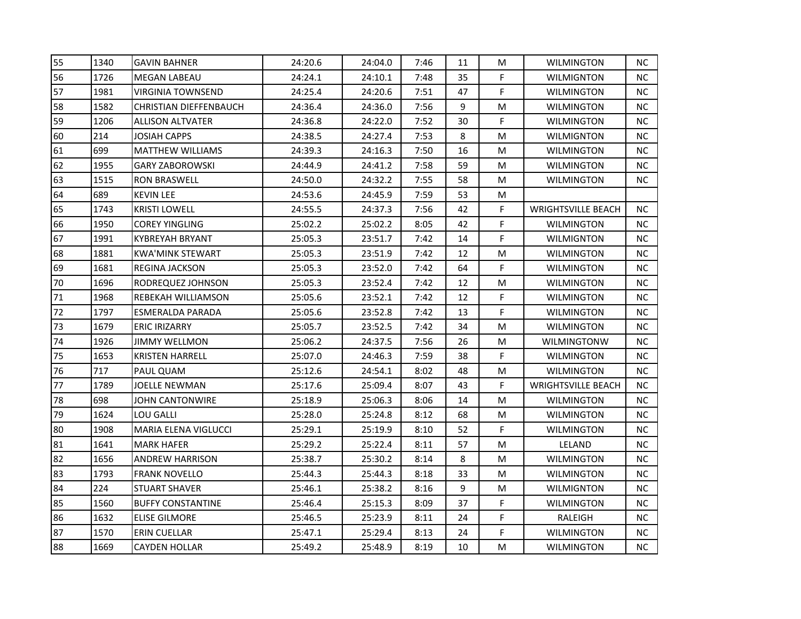| 55 | 1340 | <b>GAVIN BAHNER</b>           | 24:20.6 | 24:04.0 | 7:46 | 11 | M           | <b>WILMINGTON</b>         | <b>NC</b> |
|----|------|-------------------------------|---------|---------|------|----|-------------|---------------------------|-----------|
| 56 | 1726 | <b>MEGAN LABEAU</b>           | 24:24.1 | 24:10.1 | 7:48 | 35 | F           | <b>WILMIGNTON</b>         | NC.       |
| 57 | 1981 | <b>VIRGINIA TOWNSEND</b>      | 24:25.4 | 24:20.6 | 7:51 | 47 | F           | <b>WILMINGTON</b>         | NC        |
| 58 | 1582 | <b>CHRISTIAN DIEFFENBAUCH</b> | 24:36.4 | 24:36.0 | 7:56 | 9  | M           | <b>WILMINGTON</b>         | <b>NC</b> |
| 59 | 1206 | ALLISON ALTVATER              | 24:36.8 | 24:22.0 | 7:52 | 30 | F           | <b>WILMINGTON</b>         | <b>NC</b> |
| 60 | 214  | JOSIAH CAPPS                  | 24:38.5 | 24:27.4 | 7:53 | 8  | M           | WILMIGNTON                | <b>NC</b> |
| 61 | 699  | <b>MATTHEW WILLIAMS</b>       | 24:39.3 | 24:16.3 | 7:50 | 16 | M           | <b>WILMINGTON</b>         | <b>NC</b> |
| 62 | 1955 | <b>GARY ZABOROWSKI</b>        | 24:44.9 | 24:41.2 | 7:58 | 59 | M           | <b>WILMINGTON</b>         | NC        |
| 63 | 1515 | <b>RON BRASWELL</b>           | 24:50.0 | 24:32.2 | 7:55 | 58 | M           | <b>WILMINGTON</b>         | NC        |
| 64 | 689  | <b>KEVIN LEE</b>              | 24:53.6 | 24:45.9 | 7:59 | 53 | M           |                           |           |
| 65 | 1743 | <b>KRISTI LOWELL</b>          | 24:55.5 | 24:37.3 | 7:56 | 42 | F           | <b>WRIGHTSVILLE BEACH</b> | <b>NC</b> |
| 66 | 1950 | <b>COREY YINGLING</b>         | 25:02.2 | 25:02.2 | 8:05 | 42 | F           | <b>WILMINGTON</b>         | <b>NC</b> |
| 67 | 1991 | <b>KYBREYAH BRYANT</b>        | 25:05.3 | 23:51.7 | 7:42 | 14 | $\mathsf F$ | <b>WILMIGNTON</b>         | <b>NC</b> |
| 68 | 1881 | <b>KWA'MINK STEWART</b>       | 25:05.3 | 23:51.9 | 7:42 | 12 | M           | <b>WILMINGTON</b>         | <b>NC</b> |
| 69 | 1681 | <b>REGINA JACKSON</b>         | 25:05.3 | 23:52.0 | 7:42 | 64 | F           | <b>WILMINGTON</b>         | <b>NC</b> |
| 70 | 1696 | RODREQUEZ JOHNSON             | 25:05.3 | 23:52.4 | 7:42 | 12 | M           | WILMINGTON                | <b>NC</b> |
| 71 | 1968 | REBEKAH WILLIAMSON            | 25:05.6 | 23:52.1 | 7:42 | 12 | F           | <b>WILMINGTON</b>         | <b>NC</b> |
| 72 | 1797 | ESMERALDA PARADA              | 25:05.6 | 23:52.8 | 7:42 | 13 | F           | <b>WILMINGTON</b>         | <b>NC</b> |
| 73 | 1679 | <b>ERIC IRIZARRY</b>          | 25:05.7 | 23:52.5 | 7:42 | 34 | M           | <b>WILMINGTON</b>         | <b>NC</b> |
| 74 | 1926 | <b>JIMMY WELLMON</b>          | 25:06.2 | 24:37.5 | 7:56 | 26 | M           | <b>WILMINGTONW</b>        | <b>NC</b> |
| 75 | 1653 | <b>KRISTEN HARRELL</b>        | 25:07.0 | 24:46.3 | 7:59 | 38 | F           | <b>WILMINGTON</b>         | <b>NC</b> |
| 76 | 717  | PAUL QUAM                     | 25:12.6 | 24:54.1 | 8:02 | 48 | M           | <b>WILMINGTON</b>         | <b>NC</b> |
| 77 | 1789 | JOELLE NEWMAN                 | 25:17.6 | 25:09.4 | 8:07 | 43 | F           | <b>WRIGHTSVILLE BEACH</b> | <b>NC</b> |
| 78 | 698  | JOHN CANTONWIRE               | 25:18.9 | 25:06.3 | 8:06 | 14 | M           | <b>WILMINGTON</b>         | <b>NC</b> |
| 79 | 1624 | LOU GALLI                     | 25:28.0 | 25:24.8 | 8:12 | 68 | M           | <b>WILMINGTON</b>         | <b>NC</b> |
| 80 | 1908 | MARIA ELENA VIGLUCCI          | 25:29.1 | 25:19.9 | 8:10 | 52 | F           | <b>WILMINGTON</b>         | NC.       |
| 81 | 1641 | <b>MARK HAFER</b>             | 25:29.2 | 25:22.4 | 8:11 | 57 | M           | LELAND                    | <b>NC</b> |
| 82 | 1656 | <b>ANDREW HARRISON</b>        | 25:38.7 | 25:30.2 | 8:14 | 8  | M           | <b>WILMINGTON</b>         | <b>NC</b> |
| 83 | 1793 | <b>FRANK NOVELLO</b>          | 25:44.3 | 25:44.3 | 8:18 | 33 | M           | <b>WILMINGTON</b>         | <b>NC</b> |
| 84 | 224  | <b>STUART SHAVER</b>          | 25:46.1 | 25:38.2 | 8:16 | 9  | ${\sf M}$   | <b>WILMIGNTON</b>         | <b>NC</b> |
| 85 | 1560 | <b>BUFFY CONSTANTINE</b>      | 25:46.4 | 25:15.3 | 8:09 | 37 | F           | <b>WILMINGTON</b>         | NC        |
| 86 | 1632 | <b>ELISE GILMORE</b>          | 25:46.5 | 25:23.9 | 8:11 | 24 | F           | RALEIGH                   | NC.       |
| 87 | 1570 | <b>ERIN CUELLAR</b>           | 25:47.1 | 25:29.4 | 8:13 | 24 | F           | <b>WILMINGTON</b>         | <b>NC</b> |
| 88 | 1669 | <b>CAYDEN HOLLAR</b>          | 25:49.2 | 25:48.9 | 8:19 | 10 | M           | <b>WILMINGTON</b>         | NC        |
|    |      |                               |         |         |      |    |             |                           |           |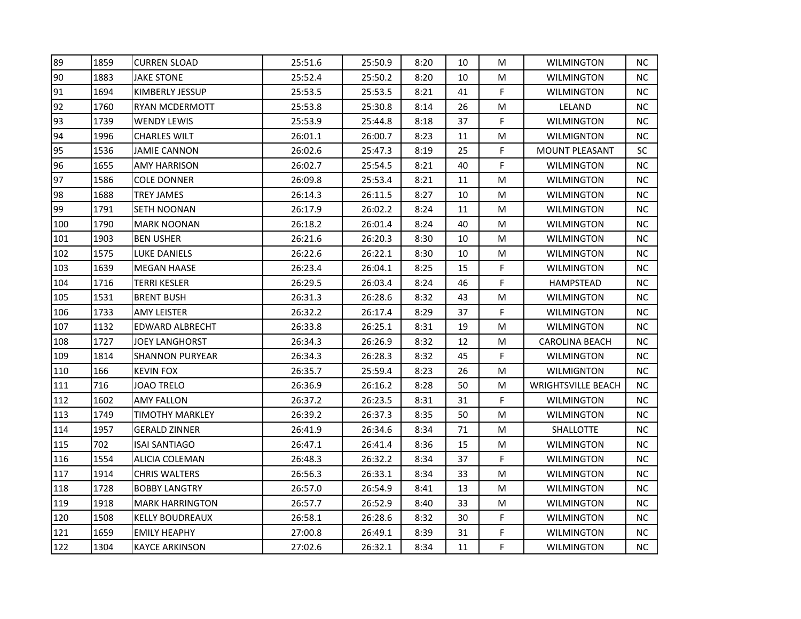| 89  | 1859 | <b>CURREN SLOAD</b>  | 25:51.6 | 25:50.9 | 8:20 | 10 | M | <b>WILMINGTON</b>         | ΝC        |
|-----|------|----------------------|---------|---------|------|----|---|---------------------------|-----------|
| 90  | 1883 | <b>JAKE STONE</b>    | 25:52.4 | 25:50.2 | 8:20 | 10 | M | <b>WILMINGTON</b>         | NC.       |
| 91  | 1694 | KIMBERLY JESSUP      | 25:53.5 | 25:53.5 | 8:21 | 41 | F | <b>WILMINGTON</b>         | NC        |
| 92  | 1760 | RYAN MCDERMOTT       | 25:53.8 | 25:30.8 | 8:14 | 26 | M | LELAND                    | <b>NC</b> |
| 93  | 1739 | WENDY LEWIS          | 25:53.9 | 25:44.8 | 8:18 | 37 | F | <b>WILMINGTON</b>         | <b>NC</b> |
| 94  | 1996 | CHARLES WILT         | 26:01.1 | 26:00.7 | 8:23 | 11 | M | <b>WILMIGNTON</b>         | <b>NC</b> |
| 95  | 1536 | JAMIE CANNON         | 26:02.6 | 25:47.3 | 8:19 | 25 | F | MOUNT PLEASANT            | SC        |
| 96  | 1655 | AMY HARRISON         | 26:02.7 | 25:54.5 | 8:21 | 40 | F | <b>WILMINGTON</b>         | <b>NC</b> |
| 97  | 1586 | COLE DONNER          | 26:09.8 | 25:53.4 | 8:21 | 11 | M | <b>WILMINGTON</b>         | <b>NC</b> |
| 98  | 1688 | TREY JAMES           | 26:14.3 | 26:11.5 | 8:27 | 10 | M | <b>WILMINGTON</b>         | <b>NC</b> |
| 99  | 1791 | SETH NOONAN          | 26:17.9 | 26:02.2 | 8:24 | 11 | M | <b>WILMINGTON</b>         | <b>NC</b> |
| 100 | 1790 | MARK NOONAN          | 26:18.2 | 26:01.4 | 8:24 | 40 | M | <b>WILMINGTON</b>         | NC.       |
| 101 | 1903 | <b>BEN USHER</b>     | 26:21.6 | 26:20.3 | 8:30 | 10 | M | <b>WILMINGTON</b>         | <b>NC</b> |
| 102 | 1575 | LUKE DANIELS         | 26:22.6 | 26:22.1 | 8:30 | 10 | M | <b>WILMINGTON</b>         | <b>NC</b> |
| 103 | 1639 | MEGAN HAASE          | 26:23.4 | 26:04.1 | 8:25 | 15 | F | <b>WILMINGTON</b>         | <b>NC</b> |
| 104 | 1716 | TERRI KESLER         | 26:29.5 | 26:03.4 | 8:24 | 46 | F | HAMPSTEAD                 | <b>NC</b> |
| 105 | 1531 | BRENT BUSH           | 26:31.3 | 26:28.6 | 8:32 | 43 | M | <b>WILMINGTON</b>         | <b>NC</b> |
| 106 | 1733 | <b>AMY LEISTER</b>   | 26:32.2 | 26:17.4 | 8:29 | 37 | F | <b>WILMINGTON</b>         | <b>NC</b> |
| 107 | 1132 | EDWARD ALBRECHT      | 26:33.8 | 26:25.1 | 8:31 | 19 | M | <b>WILMINGTON</b>         | <b>NC</b> |
| 108 | 1727 | JOEY LANGHORST       | 26:34.3 | 26:26.9 | 8:32 | 12 | M | <b>CAROLINA BEACH</b>     | <b>NC</b> |
| 109 | 1814 | SHANNON PURYEAR      | 26:34.3 | 26:28.3 | 8:32 | 45 | F | <b>WILMINGTON</b>         | <b>NC</b> |
| 110 | 166  | KEVIN FOX            | 26:35.7 | 25:59.4 | 8:23 | 26 | M | <b>WILMIGNTON</b>         | <b>NC</b> |
| 111 | 716  | <b>JOAO TRELO</b>    | 26:36.9 | 26:16.2 | 8:28 | 50 | M | <b>WRIGHTSVILLE BEACH</b> | <b>NC</b> |
| 112 | 1602 | <b>AMY FALLON</b>    | 26:37.2 | 26:23.5 | 8:31 | 31 | F | <b>WILMINGTON</b>         | <b>NC</b> |
| 113 | 1749 | TIMOTHY MARKLEY      | 26:39.2 | 26:37.3 | 8:35 | 50 | M | <b>WILMINGTON</b>         | <b>NC</b> |
| 114 | 1957 | GERALD ZINNER        | 26:41.9 | 26:34.6 | 8:34 | 71 | M | SHALLOTTE                 | NC.       |
| 115 | 702  | ISAI SANTIAGO        | 26:47.1 | 26:41.4 | 8:36 | 15 | M | WILMINGTON                | <b>NC</b> |
| 116 | 1554 | ALICIA COLEMAN       | 26:48.3 | 26:32.2 | 8:34 | 37 | F | WILMINGTON                | <b>NC</b> |
| 117 | 1914 | CHRIS WALTERS        | 26:56.3 | 26:33.1 | 8:34 | 33 | M | <b>WILMINGTON</b>         | <b>NC</b> |
| 118 | 1728 | <b>BOBBY LANGTRY</b> | 26:57.0 | 26:54.9 | 8:41 | 13 | M | <b>WILMINGTON</b>         | <b>NC</b> |
| 119 | 1918 | MARK HARRINGTON      | 26:57.7 | 26:52.9 | 8:40 | 33 | M | <b>WILMINGTON</b>         | NC        |
| 120 | 1508 | KELLY BOUDREAUX      | 26:58.1 | 26:28.6 | 8:32 | 30 | F | <b>WILMINGTON</b>         | <b>NC</b> |
| 121 | 1659 | <b>EMILY HEAPHY</b>  | 27:00.8 | 26:49.1 | 8:39 | 31 | F | <b>WILMINGTON</b>         | <b>NC</b> |
| 122 | 1304 | KAYCE ARKINSON       | 27:02.6 | 26:32.1 | 8:34 | 11 | F | <b>WILMINGTON</b>         | NC        |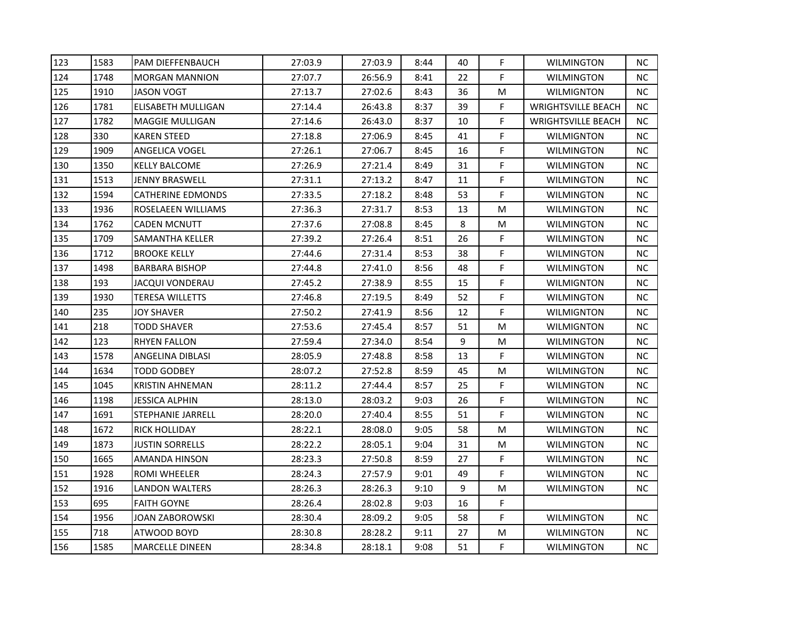| 123 | 1583 | PAM DIEFFENBAUCH       | 27:03.9 | 27:03.9 | 8:44 | 40 | F           | <b>WILMINGTON</b>         | <b>NC</b> |
|-----|------|------------------------|---------|---------|------|----|-------------|---------------------------|-----------|
| 124 | 1748 | MORGAN MANNION         | 27:07.7 | 26:56.9 | 8:41 | 22 | F           | <b>WILMINGTON</b>         | <b>NC</b> |
| 125 | 1910 | JASON VOGT             | 27:13.7 | 27:02.6 | 8:43 | 36 | M           | WILMIGNTON                | <b>NC</b> |
| 126 | 1781 | ELISABETH MULLIGAN     | 27:14.4 | 26:43.8 | 8:37 | 39 | F           | <b>WRIGHTSVILLE BEACH</b> | <b>NC</b> |
| 127 | 1782 | MAGGIE MULLIGAN        | 27:14.6 | 26:43.0 | 8:37 | 10 | $\mathsf F$ | <b>WRIGHTSVILLE BEACH</b> | NC        |
| 128 | 330  | KAREN STEED            | 27:18.8 | 27:06.9 | 8:45 | 41 | F           | WILMIGNTON                | <b>NC</b> |
| 129 | 1909 | ANGELICA VOGEL         | 27:26.1 | 27:06.7 | 8:45 | 16 | F           | <b>WILMINGTON</b>         | NC.       |
| 130 | 1350 | <b>KELLY BALCOME</b>   | 27:26.9 | 27:21.4 | 8:49 | 31 | F           | <b>WILMINGTON</b>         | NC        |
| 131 | 1513 | <b>JENNY BRASWELL</b>  | 27:31.1 | 27:13.2 | 8:47 | 11 | F           | <b>WILMINGTON</b>         | <b>NC</b> |
| 132 | 1594 | CATHERINE EDMONDS      | 27:33.5 | 27:18.2 | 8:48 | 53 | F           | <b>WILMINGTON</b>         | NC.       |
| 133 | 1936 | ROSELAEEN WILLIAMS     | 27:36.3 | 27:31.7 | 8:53 | 13 | M           | <b>WILMINGTON</b>         | NC.       |
| 134 | 1762 | <b>CADEN MCNUTT</b>    | 27:37.6 | 27:08.8 | 8:45 | 8  | M           | <b>WILMINGTON</b>         | NC.       |
| 135 | 1709 | SAMANTHA KELLER        | 27:39.2 | 27:26.4 | 8:51 | 26 | F           | <b>WILMINGTON</b>         | NC        |
| 136 | 1712 | <b>BROOKE KELLY</b>    | 27:44.6 | 27:31.4 | 8:53 | 38 | F           | WILMINGTON                | <b>NC</b> |
| 137 | 1498 | <b>BARBARA BISHOP</b>  | 27:44.8 | 27:41.0 | 8:56 | 48 | F           | <b>WILMINGTON</b>         | <b>NC</b> |
| 138 | 193  | JACQUI VONDERAU        | 27:45.2 | 27:38.9 | 8:55 | 15 | F           | <b>WILMIGNTON</b>         | NC.       |
| 139 | 1930 | TERESA WILLETTS        | 27:46.8 | 27:19.5 | 8:49 | 52 | F           | <b>WILMINGTON</b>         | ΝC        |
| 140 | 235  | <b>JOY SHAVER</b>      | 27:50.2 | 27:41.9 | 8:56 | 12 | F           | <b>WILMIGNTON</b>         | NC        |
| 141 | 218  | TODD SHAVER            | 27:53.6 | 27:45.4 | 8:57 | 51 | M           | <b>WILMIGNTON</b>         | <b>NC</b> |
| 142 | 123  | RHYEN FALLON           | 27:59.4 | 27:34.0 | 8:54 | 9  | M           | WILMINGTON                | NC.       |
| 143 | 1578 | ANGELINA DIBLASI       | 28:05.9 | 27:48.8 | 8:58 | 13 | F           | <b>WILMINGTON</b>         | NC        |
| 144 | 1634 | TODD GODBEY            | 28:07.2 | 27:52.8 | 8:59 | 45 | M           | <b>WILMINGTON</b>         | NC.       |
| 145 | 1045 | KRISTIN AHNEMAN        | 28:11.2 | 27:44.4 | 8:57 | 25 | F           | <b>WILMINGTON</b>         | NC        |
| 146 | 1198 | <b>JESSICA ALPHIN</b>  | 28:13.0 | 28:03.2 | 9:03 | 26 | F           | <b>WILMINGTON</b>         | <b>NC</b> |
| 147 | 1691 | STEPHANIE JARRELL      | 28:20.0 | 27:40.4 | 8:55 | 51 | F           | <b>WILMINGTON</b>         | NC.       |
| 148 | 1672 | RICK HOLLIDAY          | 28:22.1 | 28:08.0 | 9:05 | 58 | M           | <b>WILMINGTON</b>         | NC        |
| 149 | 1873 | JUSTIN SORRELLS        | 28:22.2 | 28:05.1 | 9:04 | 31 | M           | <b>WILMINGTON</b>         | <b>NC</b> |
| 150 | 1665 | AMANDA HINSON          | 28:23.3 | 27:50.8 | 8:59 | 27 | F           | <b>WILMINGTON</b>         | NC.       |
| 151 | 1928 | ROMI WHEELER           | 28:24.3 | 27:57.9 | 9:01 | 49 | F           | WILMINGTON                | NC        |
| 152 | 1916 | LANDON WALTERS         | 28:26.3 | 28:26.3 | 9:10 | 9  | M           | <b>WILMINGTON</b>         | <b>NC</b> |
| 153 | 695  | FAITH GOYNE            | 28:26.4 | 28:02.8 | 9:03 | 16 | $\mathsf F$ |                           |           |
| 154 | 1956 | JOAN ZABOROWSKI        | 28:30.4 | 28:09.2 | 9:05 | 58 | F           | <b>WILMINGTON</b>         | <b>NC</b> |
| 155 | 718  | ATWOOD BOYD            | 28:30.8 | 28:28.2 | 9:11 | 27 | M           | <b>WILMINGTON</b>         | <b>NC</b> |
| 156 | 1585 | <b>MARCELLE DINEEN</b> | 28:34.8 | 28:18.1 | 9:08 | 51 | $\mathsf F$ | <b>WILMINGTON</b>         | NC        |
|     |      |                        |         |         |      |    |             |                           |           |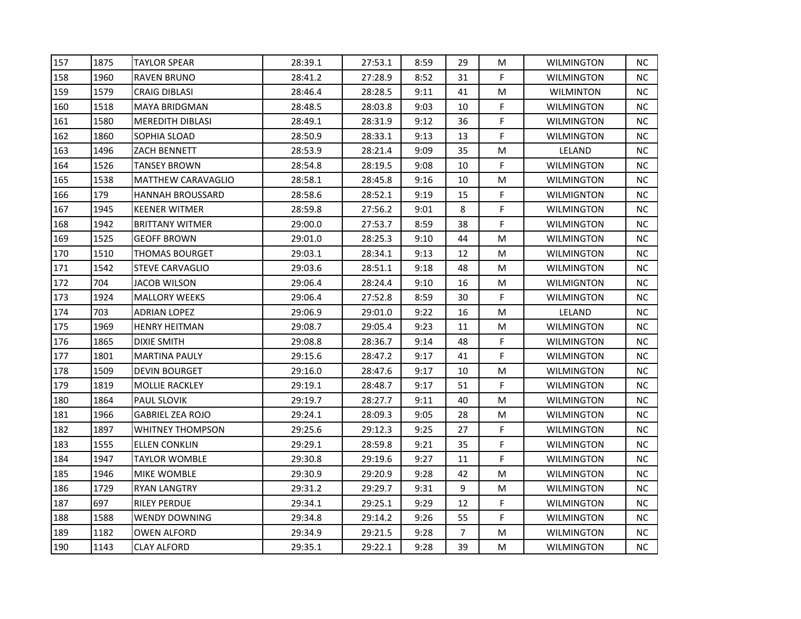| 157 | 1875 | <b>TAYLOR SPEAR</b>       | 28:39.1 | 27:53.1 | 8:59 | 29             | M | <b>WILMINGTON</b> | ΝC        |
|-----|------|---------------------------|---------|---------|------|----------------|---|-------------------|-----------|
| 158 | 1960 | RAVEN BRUNO               | 28:41.2 | 27:28.9 | 8:52 | 31             | F | <b>WILMINGTON</b> | NC.       |
| 159 | 1579 | CRAIG DIBLASI             | 28:46.4 | 28:28.5 | 9:11 | 41             | M | <b>WILMINTON</b>  | <b>NC</b> |
| 160 | 1518 | MAYA BRIDGMAN             | 28:48.5 | 28:03.8 | 9:03 | 10             | F | <b>WILMINGTON</b> | <b>NC</b> |
| 161 | 1580 | MEREDITH DIBLASI          | 28:49.1 | 28:31.9 | 9:12 | 36             | F | <b>WILMINGTON</b> | NC.       |
| 162 | 1860 | SOPHIA SLOAD              | 28:50.9 | 28:33.1 | 9:13 | 13             | F | <b>WILMINGTON</b> | <b>NC</b> |
| 163 | 1496 | ZACH BENNETT              | 28:53.9 | 28:21.4 | 9:09 | 35             | M | LELAND            | NC.       |
| 164 | 1526 | TANSEY BROWN              | 28:54.8 | 28:19.5 | 9:08 | 10             | F | <b>WILMINGTON</b> | NC        |
| 165 | 1538 | <b>MATTHEW CARAVAGLIO</b> | 28:58.1 | 28:45.8 | 9:16 | 10             | M | <b>WILMINGTON</b> | <b>NC</b> |
| 166 | 179  | HANNAH BROUSSARD          | 28:58.6 | 28:52.1 | 9:19 | 15             | F | <b>WILMIGNTON</b> | <b>NC</b> |
| 167 | 1945 | <b>KEENER WITMER</b>      | 28:59.8 | 27:56.2 | 9:01 | 8              | F | <b>WILMINGTON</b> | <b>NC</b> |
| 168 | 1942 | BRITTANY WITMER           | 29:00.0 | 27:53.7 | 8:59 | 38             | F | <b>WILMINGTON</b> | ΝC        |
| 169 | 1525 | GEOFF BROWN               | 29:01.0 | 28:25.3 | 9:10 | 44             | M | <b>WILMINGTON</b> | <b>NC</b> |
| 170 | 1510 | THOMAS BOURGET            | 29:03.1 | 28:34.1 | 9:13 | 12             | M | <b>WILMINGTON</b> | <b>NC</b> |
| 171 | 1542 | STEVE CARVAGLIO           | 29:03.6 | 28:51.1 | 9:18 | 48             | M | <b>WILMINGTON</b> | <b>NC</b> |
| 172 | 704  | JACOB WILSON              | 29:06.4 | 28:24.4 | 9:10 | 16             | M | WILMIGNTON        | <b>NC</b> |
| 173 | 1924 | <b>MALLORY WEEKS</b>      | 29:06.4 | 27:52.8 | 8:59 | 30             | F | <b>WILMINGTON</b> | <b>NC</b> |
| 174 | 703  | <b>ADRIAN LOPEZ</b>       | 29:06.9 | 29:01.0 | 9:22 | 16             | M | LELAND            | <b>NC</b> |
| 175 | 1969 | <b>HENRY HEITMAN</b>      | 29:08.7 | 29:05.4 | 9:23 | 11             | M | <b>WILMINGTON</b> | <b>NC</b> |
| 176 | 1865 | DIXIE SMITH               | 29:08.8 | 28:36.7 | 9:14 | 48             | F | <b>WILMINGTON</b> | <b>NC</b> |
| 177 | 1801 | MARTINA PAULY             | 29:15.6 | 28:47.2 | 9:17 | 41             | F | <b>WILMINGTON</b> | <b>NC</b> |
| 178 | 1509 | <b>DEVIN BOURGET</b>      | 29:16.0 | 28:47.6 | 9:17 | 10             | M | <b>WILMINGTON</b> | <b>NC</b> |
| 179 | 1819 | MOLLIE RACKLEY            | 29:19.1 | 28:48.7 | 9:17 | 51             | F | <b>WILMINGTON</b> | <b>NC</b> |
| 180 | 1864 | PAUL SLOVIK               | 29:19.7 | 28:27.7 | 9:11 | 40             | M | WILMINGTON        | <b>NC</b> |
| 181 | 1966 | GABRIEL ZEA ROJO          | 29:24.1 | 28:09.3 | 9:05 | 28             | M | <b>WILMINGTON</b> | <b>NC</b> |
| 182 | 1897 | WHITNEY THOMPSON          | 29:25.6 | 29:12.3 | 9:25 | 27             | F | <b>WILMINGTON</b> | NC.       |
| 183 | 1555 | ELLEN CONKLIN             | 29:29.1 | 28:59.8 | 9:21 | 35             | F | <b>WILMINGTON</b> | <b>NC</b> |
| 184 | 1947 | TAYLOR WOMBLE             | 29:30.8 | 29:19.6 | 9:27 | 11             | F | <b>WILMINGTON</b> | <b>NC</b> |
| 185 | 1946 | <b>MIKE WOMBLE</b>        | 29:30.9 | 29:20.9 | 9:28 | 42             | M | <b>WILMINGTON</b> | <b>NC</b> |
| 186 | 1729 | RYAN LANGTRY              | 29:31.2 | 29:29.7 | 9:31 | 9              | M | <b>WILMINGTON</b> | <b>NC</b> |
| 187 | 697  | RILEY PERDUE              | 29:34.1 | 29:25.1 | 9:29 | 12             | F | <b>WILMINGTON</b> | NC        |
| 188 | 1588 | WENDY DOWNING             | 29:34.8 | 29:14.2 | 9:26 | 55             | F | <b>WILMINGTON</b> | <b>NC</b> |
| 189 | 1182 | OWEN ALFORD               | 29:34.9 | 29:21.5 | 9:28 | $\overline{7}$ | M | <b>WILMINGTON</b> | <b>NC</b> |
| 190 | 1143 | <b>CLAY ALFORD</b>        | 29:35.1 | 29:22.1 | 9:28 | 39             | M | <b>WILMINGTON</b> | NC.       |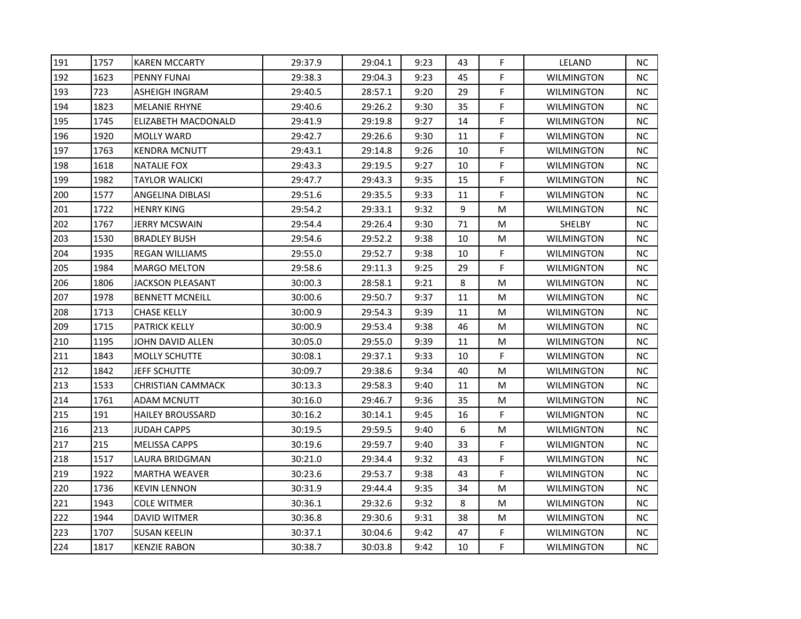| 191 | 1757 | <b>KAREN MCCARTY</b>     | 29:37.9 | 29:04.1 | 9:23 | 43 | F | LELAND            | NC.       |
|-----|------|--------------------------|---------|---------|------|----|---|-------------------|-----------|
| 192 | 1623 | PENNY FUNAI              | 29:38.3 | 29:04.3 | 9:23 | 45 | F | <b>WILMINGTON</b> | NC        |
| 193 | 723  | <b>ASHEIGH INGRAM</b>    | 29:40.5 | 28:57.1 | 9:20 | 29 | F | WILMINGTON        | NC        |
| 194 | 1823 | <b>MELANIE RHYNE</b>     | 29:40.6 | 29:26.2 | 9:30 | 35 | F | WILMINGTON        | NC.       |
| 195 | 1745 | ELIZABETH MACDONALD      | 29:41.9 | 29:19.8 | 9:27 | 14 | F | WILMINGTON        | NC        |
| 196 | 1920 | <b>MOLLY WARD</b>        | 29:42.7 | 29:26.6 | 9:30 | 11 | F | WILMINGTON        | NC.       |
| 197 | 1763 | <b>KENDRA MCNUTT</b>     | 29:43.1 | 29:14.8 | 9:26 | 10 | F | WILMINGTON        | NC.       |
| 198 | 1618 | <b>NATALIE FOX</b>       | 29:43.3 | 29:19.5 | 9:27 | 10 | F | <b>WILMINGTON</b> | <b>NC</b> |
| 199 | 1982 | <b>TAYLOR WALICKI</b>    | 29:47.7 | 29:43.3 | 9:35 | 15 | F | <b>WILMINGTON</b> | NC        |
| 200 | 1577 | ANGELINA DIBLASI         | 29:51.6 | 29:35.5 | 9:33 | 11 | F | WILMINGTON        | NC.       |
| 201 | 1722 | HENRY KING               | 29:54.2 | 29:33.1 | 9:32 | 9  | M | <b>WILMINGTON</b> | NC.       |
| 202 | 1767 | <b>JERRY MCSWAIN</b>     | 29:54.4 | 29:26.4 | 9:30 | 71 | M | <b>SHELBY</b>     | NC.       |
| 203 | 1530 | <b>BRADLEY BUSH</b>      | 29:54.6 | 29:52.2 | 9:38 | 10 | M | WILMINGTON        | NC        |
| 204 | 1935 | <b>REGAN WILLIAMS</b>    | 29:55.0 | 29:52.7 | 9:38 | 10 | F | <b>WILMINGTON</b> | NC.       |
| 205 | 1984 | MARGO MELTON             | 29:58.6 | 29:11.3 | 9:25 | 29 | F | WILMIGNTON        | NC.       |
| 206 | 1806 | JACKSON PLEASANT         | 30:00.3 | 28:58.1 | 9:21 | 8  | M | WILMINGTON        | NC.       |
| 207 | 1978 | <b>BENNETT MCNEILL</b>   | 30:00.6 | 29:50.7 | 9:37 | 11 | M | WILMINGTON        | NC.       |
| 208 | 1713 | <b>CHASE KELLY</b>       | 30:00.9 | 29:54.3 | 9:39 | 11 | M | WILMINGTON        | <b>NC</b> |
| 209 | 1715 | <b>PATRICK KELLY</b>     | 30:00.9 | 29:53.4 | 9:38 | 46 | M | <b>WILMINGTON</b> | <b>NC</b> |
| 210 | 1195 | JOHN DAVID ALLEN         | 30:05.0 | 29:55.0 | 9:39 | 11 | M | WILMINGTON        | NC        |
| 211 | 1843 | MOLLY SCHUTTE            | 30:08.1 | 29:37.1 | 9:33 | 10 | F | WILMINGTON        | NC        |
| 212 | 1842 | <b>JEFF SCHUTTE</b>      | 30:09.7 | 29:38.6 | 9:34 | 40 | M | <b>WILMINGTON</b> | NC.       |
| 213 | 1533 | <b>CHRISTIAN CAMMACK</b> | 30:13.3 | 29:58.3 | 9:40 | 11 | M | WILMINGTON        | NC.       |
| 214 | 1761 | <b>ADAM MCNUTT</b>       | 30:16.0 | 29:46.7 | 9:36 | 35 | M | <b>WILMINGTON</b> | NC        |
| 215 | 191  | HAILEY BROUSSARD         | 30:16.2 | 30:14.1 | 9:45 | 16 | F | <b>WILMIGNTON</b> | NC.       |
| 216 | 213  | JUDAH CAPPS              | 30:19.5 | 29:59.5 | 9:40 | 6  | M | WILMIGNTON        | NC.       |
| 217 | 215  | <b>MELISSA CAPPS</b>     | 30:19.6 | 29:59.7 | 9:40 | 33 | F | WILMIGNTON        | NC.       |
| 218 | 1517 | LAURA BRIDGMAN           | 30:21.0 | 29:34.4 | 9:32 | 43 | F | <b>WILMINGTON</b> | NC.       |
| 219 | 1922 | <b>MARTHA WEAVER</b>     | 30:23.6 | 29:53.7 | 9:38 | 43 | F | <b>WILMINGTON</b> | NC        |
| 220 | 1736 | <b>KEVIN LENNON</b>      | 30:31.9 | 29:44.4 | 9:35 | 34 | M | WILMINGTON        | NC        |
| 221 | 1943 | COLE WITMER              | 30:36.1 | 29:32.6 | 9:32 | 8  | M | WILMINGTON        | NC        |
| 222 | 1944 | DAVID WITMER             | 30:36.8 | 29:30.6 | 9:31 | 38 | M | <b>WILMINGTON</b> | NC.       |
| 223 | 1707 | <b>SUSAN KEELIN</b>      | 30:37.1 | 30:04.6 | 9:42 | 47 | F | <b>WILMINGTON</b> | NC        |
| 224 | 1817 | <b>KENZIE RABON</b>      | 30:38.7 | 30:03.8 | 9:42 | 10 | F | <b>WILMINGTON</b> | NC        |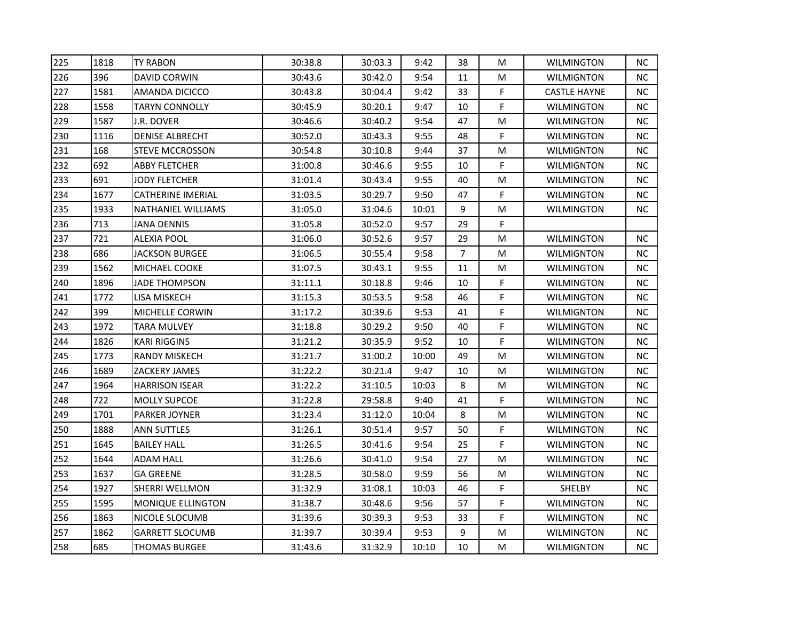| 225 | 1818 | <b>TY RABON</b>        | 30:38.8 | 30:03.3 | 9:42  | 38 | M           | <b>WILMINGTON</b>   | <b>NC</b> |
|-----|------|------------------------|---------|---------|-------|----|-------------|---------------------|-----------|
| 226 | 396  | <b>DAVID CORWIN</b>    | 30:43.6 | 30:42.0 | 9:54  | 11 | M           | <b>WILMIGNTON</b>   | <b>NC</b> |
| 227 | 1581 | <b>AMANDA DICICCO</b>  | 30:43.8 | 30:04.4 | 9:42  | 33 | F           | <b>CASTLE HAYNE</b> | <b>NC</b> |
| 228 | 1558 | TARYN CONNOLLY         | 30:45.9 | 30:20.1 | 9:47  | 10 | F           | <b>WILMINGTON</b>   | NC.       |
| 229 | 1587 | J.R. DOVER             | 30:46.6 | 30:40.2 | 9:54  | 47 | M           | <b>WILMINGTON</b>   | NC        |
| 230 | 1116 | <b>DENISE ALBRECHT</b> | 30:52.0 | 30:43.3 | 9:55  | 48 | F           | WILMINGTON          | <b>NC</b> |
| 231 | 168  | <b>STEVE MCCROSSON</b> | 30:54.8 | 30:10.8 | 9:44  | 37 | M           | <b>WILMIGNTON</b>   | NC.       |
| 232 | 692  | <b>ABBY FLETCHER</b>   | 31:00.8 | 30:46.6 | 9:55  | 10 | F           | <b>WILMIGNTON</b>   | <b>NC</b> |
| 233 | 691  | <b>JODY FLETCHER</b>   | 31:01.4 | 30:43.4 | 9:55  | 40 | M           | <b>WILMINGTON</b>   | <b>NC</b> |
| 234 | 1677 | CATHERINE IMERIAL      | 31:03.5 | 30:29.7 | 9:50  | 47 | F           | <b>WILMINGTON</b>   | NC        |
| 235 | 1933 | NATHANIEL WILLIAMS     | 31:05.0 | 31:04.6 | 10:01 | 9  | M           | <b>WILMINGTON</b>   | NC.       |
| 236 | 713  | <b>JANA DENNIS</b>     | 31:05.8 | 30:52.0 | 9:57  | 29 | F           |                     |           |
| 237 | 721  | <b>ALEXIA POOL</b>     | 31:06.0 | 30:52.6 | 9:57  | 29 | M           | <b>WILMINGTON</b>   | NC        |
| 238 | 686  | <b>JACKSON BURGEE</b>  | 31:06.5 | 30:55.4 | 9:58  | 7  | M           | <b>WILMIGNTON</b>   | <b>NC</b> |
| 239 | 1562 | MICHAEL COOKE          | 31:07.5 | 30:43.1 | 9:55  | 11 | M           | <b>WILMINGTON</b>   | <b>NC</b> |
| 240 | 1896 | JADE THOMPSON          | 31:11.1 | 30:18.8 | 9:46  | 10 | F           | <b>WILMINGTON</b>   | NC.       |
| 241 | 1772 | LISA MISKECH           | 31:15.3 | 30:53.5 | 9:58  | 46 | F           | <b>WILMINGTON</b>   | NС        |
| 242 | 399  | MICHELLE CORWIN        | 31:17.2 | 30:39.6 | 9:53  | 41 | F           | <b>WILMIGNTON</b>   | NC        |
| 243 | 1972 | <b>TARA MULVEY</b>     | 31:18.8 | 30:29.2 | 9:50  | 40 | F           | <b>WILMINGTON</b>   | <b>NC</b> |
| 244 | 1826 | KARI RIGGINS           | 31:21.2 | 30:35.9 | 9:52  | 10 | F           | <b>WILMINGTON</b>   | <b>NC</b> |
| 245 | 1773 | RANDY MISKECH          | 31:21.7 | 31:00.2 | 10:00 | 49 | M           | <b>WILMINGTON</b>   | NC.       |
| 246 | 1689 | ZACKERY JAMES          | 31:22.2 | 30:21.4 | 9:47  | 10 | M           | <b>WILMINGTON</b>   | <b>NC</b> |
| 247 | 1964 | <b>HARRISON ISEAR</b>  | 31:22.2 | 31:10.5 | 10:03 | 8  | M           | <b>WILMINGTON</b>   | NC        |
| 248 | 722  | <b>MOLLY SUPCOE</b>    | 31:22.8 | 29:58.8 | 9:40  | 41 | F           | <b>WILMINGTON</b>   | <b>NC</b> |
| 249 | 1701 | <b>PARKER JOYNER</b>   | 31:23.4 | 31:12.0 | 10:04 | 8  | M           | <b>WILMINGTON</b>   | NC.       |
| 250 | 1888 | ANN SUTTLES            | 31:26.1 | 30:51.4 | 9:57  | 50 | F           | <b>WILMINGTON</b>   | <b>NC</b> |
| 251 | 1645 | <b>BAILEY HALL</b>     | 31:26.5 | 30:41.6 | 9:54  | 25 | F           | <b>WILMINGTON</b>   | <b>NC</b> |
| 252 | 1644 | <b>ADAM HALL</b>       | 31:26.6 | 30:41.0 | 9:54  | 27 | M           | <b>WILMINGTON</b>   | <b>NC</b> |
| 253 | 1637 | <b>GA GREENE</b>       | 31:28.5 | 30:58.0 | 9:59  | 56 | M           | <b>WILMINGTON</b>   | <b>NC</b> |
| 254 | 1927 | <b>SHERRI WELLMON</b>  | 31:32.9 | 31:08.1 | 10:03 | 46 | F           | SHELBY              | NC.       |
| 255 | 1595 | MONIQUE ELLINGTON      | 31:38.7 | 30:48.6 | 9:56  | 57 | $\mathsf F$ | <b>WILMINGTON</b>   | NC        |
| 256 | 1863 | NICOLE SLOCUMB         | 31:39.6 | 30:39.3 | 9:53  | 33 | F           | <b>WILMINGTON</b>   | <b>NC</b> |
| 257 | 1862 | <b>GARRETT SLOCUMB</b> | 31:39.7 | 30:39.4 | 9:53  | 9  | M           | <b>WILMINGTON</b>   | NC.       |
| 258 | 685  | <b>THOMAS BURGEE</b>   | 31:43.6 | 31:32.9 | 10:10 | 10 | M           | <b>WILMIGNTON</b>   | NC        |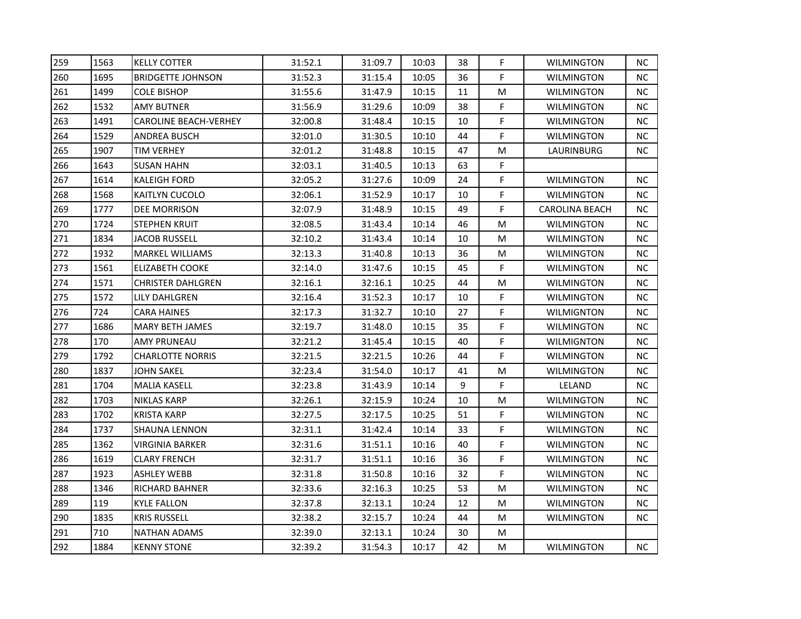| 259 | 1563 | <b>KELLY COTTER</b>    | 31:52.1 | 31:09.7 | 10:03 | 38 | F           | <b>WILMINGTON</b> | <b>NC</b> |
|-----|------|------------------------|---------|---------|-------|----|-------------|-------------------|-----------|
| 260 | 1695 | BRIDGETTE JOHNSON      | 31:52.3 | 31:15.4 | 10:05 | 36 | F           | <b>WILMINGTON</b> | NC.       |
| 261 | 1499 | COLE BISHOP            | 31:55.6 | 31:47.9 | 10:15 | 11 | M           | <b>WILMINGTON</b> | <b>NC</b> |
| 262 | 1532 | AMY BUTNER             | 31:56.9 | 31:29.6 | 10:09 | 38 | F           | <b>WILMINGTON</b> | <b>NC</b> |
| 263 | 1491 | CAROLINE BEACH-VERHEY  | 32:00.8 | 31:48.4 | 10:15 | 10 | F           | <b>WILMINGTON</b> | <b>NC</b> |
| 264 | 1529 | ANDREA BUSCH           | 32:01.0 | 31:30.5 | 10:10 | 44 | F           | <b>WILMINGTON</b> | NC.       |
| 265 | 1907 | TIM VERHEY             | 32:01.2 | 31:48.8 | 10:15 | 47 | M           | LAURINBURG        | NC.       |
| 266 | 1643 | <b>SUSAN HAHN</b>      | 32:03.1 | 31:40.5 | 10:13 | 63 | F           |                   |           |
| 267 | 1614 | <b>KALEIGH FORD</b>    | 32:05.2 | 31:27.6 | 10:09 | 24 | F           | <b>WILMINGTON</b> | <b>NC</b> |
| 268 | 1568 | KAITLYN CUCOLO         | 32:06.1 | 31:52.9 | 10:17 | 10 | F           | <b>WILMINGTON</b> | NC.       |
| 269 | 1777 | DEE MORRISON           | 32:07.9 | 31:48.9 | 10:15 | 49 | F           | CAROLINA BEACH    | NC.       |
| 270 | 1724 | STEPHEN KRUIT          | 32:08.5 | 31:43.4 | 10:14 | 46 | M           | <b>WILMINGTON</b> | NC.       |
| 271 | 1834 | JACOB RUSSELL          | 32:10.2 | 31:43.4 | 10:14 | 10 | M           | <b>WILMINGTON</b> | <b>NC</b> |
| 272 | 1932 | <b>MARKEL WILLIAMS</b> | 32:13.3 | 31:40.8 | 10:13 | 36 | M           | <b>WILMINGTON</b> | <b>NC</b> |
| 273 | 1561 | ELIZABETH COOKE        | 32:14.0 | 31:47.6 | 10:15 | 45 | F           | <b>WILMINGTON</b> | NC.       |
| 274 | 1571 | CHRISTER DAHLGREN      | 32:16.1 | 32:16.1 | 10:25 | 44 | M           | WILMINGTON        | NC.       |
| 275 | 1572 | LILY DAHLGREN          | 32:16.4 | 31:52.3 | 10:17 | 10 | F           | <b>WILMINGTON</b> | <b>NC</b> |
| 276 | 724  | CARA HAINES            | 32:17.3 | 31:32.7 | 10:10 | 27 | F           | <b>WILMIGNTON</b> | <b>NC</b> |
| 277 | 1686 | <b>MARY BETH JAMES</b> | 32:19.7 | 31:48.0 | 10:15 | 35 | F           | <b>WILMINGTON</b> | <b>NC</b> |
| 278 | 170  | AMY PRUNEAU            | 32:21.2 | 31:45.4 | 10:15 | 40 | F           | <b>WILMIGNTON</b> | NC.       |
| 279 | 1792 | CHARLOTTE NORRIS       | 32:21.5 | 32:21.5 | 10:26 | 44 | $\mathsf F$ | <b>WILMINGTON</b> | <b>NC</b> |
| 280 | 1837 | JOHN SAKEL             | 32:23.4 | 31:54.0 | 10:17 | 41 | M           | <b>WILMINGTON</b> | NC.       |
| 281 | 1704 | <b>MALIA KASELL</b>    | 32:23.8 | 31:43.9 | 10:14 | 9  | F           | LELAND            | <b>NC</b> |
| 282 | 1703 | NIKLAS KARP            | 32:26.1 | 32:15.9 | 10:24 | 10 | M           | <b>WILMINGTON</b> | <b>NC</b> |
| 283 | 1702 | KRISTA KARP            | 32:27.5 | 32:17.5 | 10:25 | 51 | F           | <b>WILMINGTON</b> | NC.       |
| 284 | 1737 | SHAUNA LENNON          | 32:31.1 | 31:42.4 | 10:14 | 33 | F           | <b>WILMINGTON</b> | NC.       |
| 285 | 1362 | VIRGINIA BARKER        | 32:31.6 | 31:51.1 | 10:16 | 40 | F           | <b>WILMINGTON</b> | <b>NC</b> |
| 286 | 1619 | <b>CLARY FRENCH</b>    | 32:31.7 | 31:51.1 | 10:16 | 36 | F           | WILMINGTON        | NC.       |
| 287 | 1923 | <b>ASHLEY WEBB</b>     | 32:31.8 | 31:50.8 | 10:16 | 32 | F           | <b>WILMINGTON</b> | <b>NC</b> |
| 288 | 1346 | RICHARD BAHNER         | 32:33.6 | 32:16.3 | 10:25 | 53 | M           | <b>WILMINGTON</b> | NC.       |
| 289 | 119  | <b>KYLE FALLON</b>     | 32:37.8 | 32:13.1 | 10:24 | 12 | M           | <b>WILMINGTON</b> | NC        |
| 290 | 1835 | KRIS RUSSELL           | 32:38.2 | 32:15.7 | 10:24 | 44 | M           | <b>WILMINGTON</b> | <b>NC</b> |
| 291 | 710  | NATHAN ADAMS           | 32:39.0 | 32:13.1 | 10:24 | 30 | M           |                   |           |
| 292 | 1884 | <b>KENNY STONE</b>     | 32:39.2 | 31:54.3 | 10:17 | 42 | M           | <b>WILMINGTON</b> | NC.       |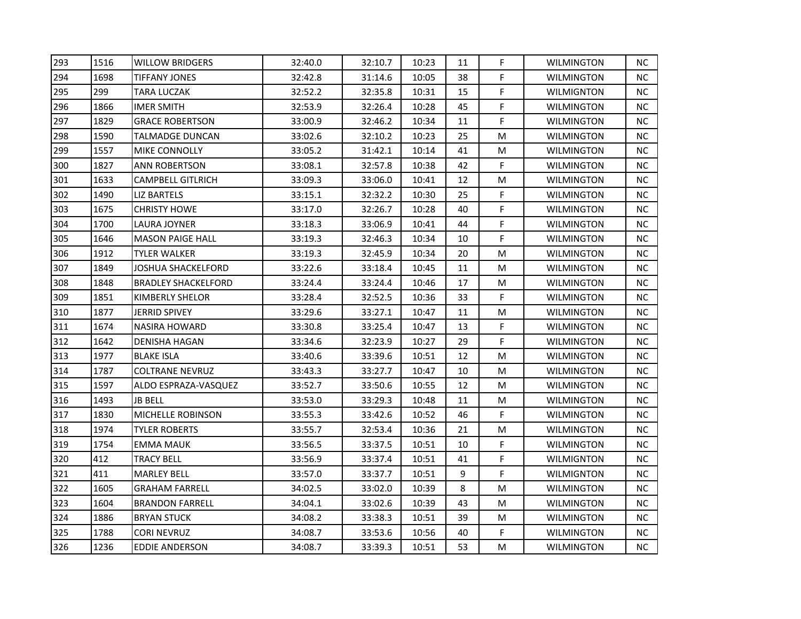| 293 | 1516 | WILLOW BRIDGERS         | 32:40.0 | 32:10.7 | 10:23 | 11 | F | <b>WILMINGTON</b> | NС        |
|-----|------|-------------------------|---------|---------|-------|----|---|-------------------|-----------|
| 294 | 1698 | TIFFANY JONES           | 32:42.8 | 31:14.6 | 10:05 | 38 | F | <b>WILMINGTON</b> | NC.       |
| 295 | 299  | TARA LUCZAK             | 32:52.2 | 32:35.8 | 10:31 | 15 | F | <b>WILMIGNTON</b> | <b>NC</b> |
| 296 | 1866 | IMER SMITH              | 32:53.9 | 32:26.4 | 10:28 | 45 | F | <b>WILMINGTON</b> | <b>NC</b> |
| 297 | 1829 | GRACE ROBERTSON         | 33:00.9 | 32:46.2 | 10:34 | 11 | F | WILMINGTON        | <b>NC</b> |
| 298 | 1590 | TALMADGE DUNCAN         | 33:02.6 | 32:10.2 | 10:23 | 25 | M | <b>WILMINGTON</b> | <b>NC</b> |
| 299 | 1557 | MIKE CONNOLLY           | 33:05.2 | 31:42.1 | 10:14 | 41 | M | <b>WILMINGTON</b> | NC.       |
| 300 | 1827 | ANN ROBERTSON           | 33:08.1 | 32:57.8 | 10:38 | 42 | F | <b>WILMINGTON</b> | <b>NC</b> |
| 301 | 1633 | CAMPBELL GITLRICH       | 33:09.3 | 33:06.0 | 10:41 | 12 | M | <b>WILMINGTON</b> | <b>NC</b> |
| 302 | 1490 | LIZ BARTELS             | 33:15.1 | 32:32.2 | 10:30 | 25 | F | <b>WILMINGTON</b> | <b>NC</b> |
| 303 | 1675 | CHRISTY HOWE            | 33:17.0 | 32:26.7 | 10:28 | 40 | F | <b>WILMINGTON</b> | NC.       |
| 304 | 1700 | LAURA JOYNER            | 33:18.3 | 33:06.9 | 10:41 | 44 | F | <b>WILMINGTON</b> | NС        |
| 305 | 1646 | <b>MASON PAIGE HALL</b> | 33:19.3 | 32:46.3 | 10:34 | 10 | F | <b>WILMINGTON</b> | <b>NC</b> |
| 306 | 1912 | TYLER WALKER            | 33:19.3 | 32:45.9 | 10:34 | 20 | M | <b>WILMINGTON</b> | <b>NC</b> |
| 307 | 1849 | JOSHUA SHACKELFORD      | 33:22.6 | 33:18.4 | 10:45 | 11 | M | <b>WILMINGTON</b> | NC.       |
| 308 | 1848 | BRADLEY SHACKELFORD     | 33:24.4 | 33:24.4 | 10:46 | 17 | M | WILMINGTON        | <b>NC</b> |
| 309 | 1851 | KIMBERLY SHELOR         | 33:28.4 | 32:52.5 | 10:36 | 33 | F | <b>WILMINGTON</b> | <b>NC</b> |
| 310 | 1877 | <b>JERRID SPIVEY</b>    | 33:29.6 | 33:27.1 | 10:47 | 11 | M | <b>WILMINGTON</b> | <b>NC</b> |
| 311 | 1674 | <b>NASIRA HOWARD</b>    | 33:30.8 | 33:25.4 | 10:47 | 13 | F | <b>WILMINGTON</b> | <b>NC</b> |
| 312 | 1642 | DENISHA HAGAN           | 33:34.6 | 32:23.9 | 10:27 | 29 | F | <b>WILMINGTON</b> | NC.       |
| 313 | 1977 | BLAKE ISLA              | 33:40.6 | 33:39.6 | 10:51 | 12 | M | <b>WILMINGTON</b> | <b>NC</b> |
| 314 | 1787 | <b>COLTRANE NEVRUZ</b>  | 33:43.3 | 33:27.7 | 10:47 | 10 | M | <b>WILMINGTON</b> | NC.       |
| 315 | 1597 | ALDO ESPRAZA-VASQUEZ    | 33:52.7 | 33:50.6 | 10:55 | 12 | M | <b>WILMINGTON</b> | <b>NC</b> |
| 316 | 1493 | JB BELL                 | 33:53.0 | 33:29.3 | 10:48 | 11 | M | WILMINGTON        | <b>NC</b> |
| 317 | 1830 | MICHELLE ROBINSON       | 33:55.3 | 33:42.6 | 10:52 | 46 | F | <b>WILMINGTON</b> | NC.       |
| 318 | 1974 | TYLER ROBERTS           | 33:55.7 | 32:53.4 | 10:36 | 21 | M | <b>WILMINGTON</b> | NC.       |
| 319 | 1754 | EMMA MAUK               | 33:56.5 | 33:37.5 | 10:51 | 10 | F | <b>WILMINGTON</b> | <b>NC</b> |
| 320 | 412  | TRACY BELL              | 33:56.9 | 33:37.4 | 10:51 | 41 | F | <b>WILMIGNTON</b> | <b>NC</b> |
| 321 | 411  | <b>MARLEY BELL</b>      | 33:57.0 | 33:37.7 | 10:51 | 9  | F | <b>WILMIGNTON</b> | <b>NC</b> |
| 322 | 1605 | <b>GRAHAM FARRELL</b>   | 34:02.5 | 33:02.0 | 10:39 | 8  | M | <b>WILMINGTON</b> | <b>NC</b> |
| 323 | 1604 | <b>BRANDON FARRELL</b>  | 34:04.1 | 33:02.6 | 10:39 | 43 | M | <b>WILMINGTON</b> | NC        |
| 324 | 1886 | <b>BRYAN STUCK</b>      | 34:08.2 | 33:38.3 | 10:51 | 39 | M | <b>WILMINGTON</b> | <b>NC</b> |
| 325 | 1788 | CORI NEVRUZ             | 34:08.7 | 33:53.6 | 10:56 | 40 | F | <b>WILMINGTON</b> | NC.       |
| 326 | 1236 | EDDIE ANDERSON          | 34:08.7 | 33:39.3 | 10:51 | 53 | M | <b>WILMINGTON</b> | NC        |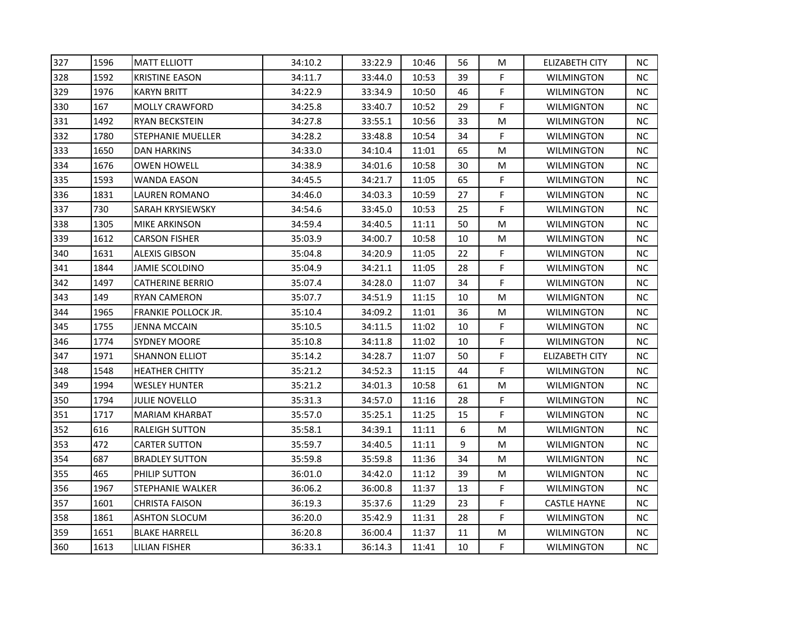| 327 | 1596 | <b>MATT ELLIOTT</b>   | 34:10.2 | 33:22.9 | 10:46 | 56 | M           | <b>ELIZABETH CITY</b> | <b>NC</b> |
|-----|------|-----------------------|---------|---------|-------|----|-------------|-----------------------|-----------|
| 328 | 1592 | <b>KRISTINE EASON</b> | 34:11.7 | 33:44.0 | 10:53 | 39 | F.          | <b>WILMINGTON</b>     | <b>NC</b> |
| 329 | 1976 | <b>KARYN BRITT</b>    | 34:22.9 | 33:34.9 | 10:50 | 46 | F           | WILMINGTON            | <b>NC</b> |
| 330 | 167  | <b>MOLLY CRAWFORD</b> | 34:25.8 | 33:40.7 | 10:52 | 29 | F           | <b>WILMIGNTON</b>     | NC.       |
| 331 | 1492 | RYAN BECKSTEIN        | 34:27.8 | 33:55.1 | 10:56 | 33 | M           | <b>WILMINGTON</b>     | NC.       |
| 332 | 1780 | STEPHANIE MUELLER     | 34:28.2 | 33:48.8 | 10:54 | 34 | F           | WILMINGTON            | <b>NC</b> |
| 333 | 1650 | DAN HARKINS           | 34:33.0 | 34:10.4 | 11:01 | 65 | M           | WILMINGTON            | NC.       |
| 334 | 1676 | OWEN HOWELL           | 34:38.9 | 34:01.6 | 10:58 | 30 | M           | <b>WILMINGTON</b>     | <b>NC</b> |
| 335 | 1593 | WANDA EASON           | 34:45.5 | 34:21.7 | 11:05 | 65 | F           | <b>WILMINGTON</b>     | <b>NC</b> |
| 336 | 1831 | LAUREN ROMANO         | 34:46.0 | 34:03.3 | 10:59 | 27 | F           | <b>WILMINGTON</b>     | NC.       |
| 337 | 730  | SARAH KRYSIEWSKY      | 34:54.6 | 33:45.0 | 10:53 | 25 | F           | <b>WILMINGTON</b>     | NC.       |
| 338 | 1305 | MIKE ARKINSON         | 34:59.4 | 34:40.5 | 11:11 | 50 | M           | <b>WILMINGTON</b>     | NC.       |
| 339 | 1612 | <b>CARSON FISHER</b>  | 35:03.9 | 34:00.7 | 10:58 | 10 | M           | <b>WILMINGTON</b>     | <b>NC</b> |
| 340 | 1631 | ALEXIS GIBSON         | 35:04.8 | 34:20.9 | 11:05 | 22 | F           | WILMINGTON            | <b>NC</b> |
| 341 | 1844 | JAMIE SCOLDINO        | 35:04.9 | 34:21.1 | 11:05 | 28 | F           | <b>WILMINGTON</b>     | <b>NC</b> |
| 342 | 1497 | CATHERINE BERRIO      | 35:07.4 | 34:28.0 | 11:07 | 34 | F           | <b>WILMINGTON</b>     | NC.       |
| 343 | 149  | RYAN CAMERON          | 35:07.7 | 34:51.9 | 11:15 | 10 | M           | <b>WILMIGNTON</b>     | NС        |
| 344 | 1965 | FRANKIE POLLOCK JR.   | 35:10.4 | 34:09.2 | 11:01 | 36 | M           | <b>WILMINGTON</b>     | NC        |
| 345 | 1755 | JENNA MCCAIN          | 35:10.5 | 34:11.5 | 11:02 | 10 | F           | <b>WILMINGTON</b>     | <b>NC</b> |
| 346 | 1774 | <b>SYDNEY MOORE</b>   | 35:10.8 | 34:11.8 | 11:02 | 10 | F           | WILMINGTON            | NC.       |
| 347 | 1971 | SHANNON ELLIOT        | 35:14.2 | 34:28.7 | 11:07 | 50 | F           | <b>ELIZABETH CITY</b> | NC.       |
| 348 | 1548 | HEATHER CHITTY        | 35:21.2 | 34:52.3 | 11:15 | 44 | F           | <b>WILMINGTON</b>     | NC.       |
| 349 | 1994 | WESLEY HUNTER         | 35:21.2 | 34:01.3 | 10:58 | 61 | M           | <b>WILMIGNTON</b>     | <b>NC</b> |
| 350 | 1794 | <b>JULIE NOVELLO</b>  | 35:31.3 | 34:57.0 | 11:16 | 28 | F           | <b>WILMINGTON</b>     | <b>NC</b> |
| 351 | 1717 | MARIAM KHARBAT        | 35:57.0 | 35:25.1 | 11:25 | 15 | F           | <b>WILMINGTON</b>     | NC.       |
| 352 | 616  | RALEIGH SUTTON        | 35:58.1 | 34:39.1 | 11:11 | 6  | M           | <b>WILMIGNTON</b>     | NC        |
| 353 | 472  | CARTER SUTTON         | 35:59.7 | 34:40.5 | 11:11 | 9  | M           | <b>WILMIGNTON</b>     | <b>NC</b> |
| 354 | 687  | <b>BRADLEY SUTTON</b> | 35:59.8 | 35:59.8 | 11:36 | 34 | M           | <b>WILMIGNTON</b>     | <b>NC</b> |
| 355 | 465  | PHILIP SUTTON         | 36:01.0 | 34:42.0 | 11:12 | 39 | M           | WILMIGNTON            | <b>NC</b> |
| 356 | 1967 | STEPHANIE WALKER      | 36:06.2 | 36:00.8 | 11:37 | 13 | F           | <b>WILMINGTON</b>     | NC.       |
| 357 | 1601 | CHRISTA FAISON        | 36:19.3 | 35:37.6 | 11:29 | 23 | F           | <b>CASTLE HAYNE</b>   | NC        |
| 358 | 1861 | ASHTON SLOCUM         | 36:20.0 | 35:42.9 | 11:31 | 28 | F           | <b>WILMINGTON</b>     | <b>NC</b> |
| 359 | 1651 | <b>BLAKE HARRELL</b>  | 36:20.8 | 36:00.4 | 11:37 | 11 | M           | <b>WILMINGTON</b>     | NC.       |
| 360 | 1613 | <b>LILIAN FISHER</b>  | 36:33.1 | 36:14.3 | 11:41 | 10 | $\mathsf F$ | <b>WILMINGTON</b>     | NC        |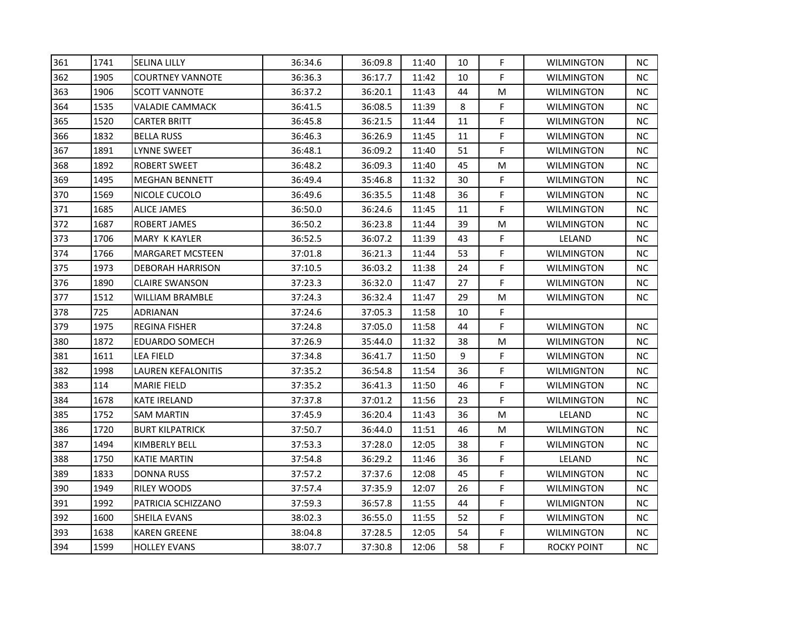| 361 | 1741 | <b>SELINA LILLY</b>     | 36:34.6 | 36:09.8 | 11:40 | 10 | F           | <b>WILMINGTON</b> | NС        |
|-----|------|-------------------------|---------|---------|-------|----|-------------|-------------------|-----------|
| 362 | 1905 | <b>COURTNEY VANNOTE</b> | 36:36.3 | 36:17.7 | 11:42 | 10 | F           | <b>WILMINGTON</b> | NC.       |
| 363 | 1906 | <b>SCOTT VANNOTE</b>    | 36:37.2 | 36:20.1 | 11:43 | 44 | M           | <b>WILMINGTON</b> | <b>NC</b> |
| 364 | 1535 | VALADIE CAMMACK         | 36:41.5 | 36:08.5 | 11:39 | 8  | F           | <b>WILMINGTON</b> | <b>NC</b> |
| 365 | 1520 | CARTER BRITT            | 36:45.8 | 36:21.5 | 11:44 | 11 | F           | <b>WILMINGTON</b> | <b>NC</b> |
| 366 | 1832 | BELLA RUSS              | 36:46.3 | 36:26.9 | 11:45 | 11 | F           | <b>WILMINGTON</b> | <b>NC</b> |
| 367 | 1891 | LYNNE SWEET             | 36:48.1 | 36:09.2 | 11:40 | 51 | F           | <b>WILMINGTON</b> | NC.       |
| 368 | 1892 | ROBERT SWEET            | 36:48.2 | 36:09.3 | 11:40 | 45 | M           | <b>WILMINGTON</b> | <b>NC</b> |
| 369 | 1495 | <b>MEGHAN BENNETT</b>   | 36:49.4 | 35:46.8 | 11:32 | 30 | F           | <b>WILMINGTON</b> | <b>NC</b> |
| 370 | 1569 | NICOLE CUCOLO           | 36:49.6 | 36:35.5 | 11:48 | 36 | F           | <b>WILMINGTON</b> | <b>NC</b> |
| 371 | 1685 | ALICE JAMES             | 36:50.0 | 36:24.6 | 11:45 | 11 | F           | <b>WILMINGTON</b> | NC.       |
| 372 | 1687 | ROBERT JAMES            | 36:50.2 | 36:23.8 | 11:44 | 39 | M           | <b>WILMINGTON</b> | NC.       |
| 373 | 1706 | MARY K KAYLER           | 36:52.5 | 36:07.2 | 11:39 | 43 | $\mathsf F$ | LELAND            | <b>NC</b> |
| 374 | 1766 | <b>MARGARET MCSTEEN</b> | 37:01.8 | 36:21.3 | 11:44 | 53 | F           | <b>WILMINGTON</b> | <b>NC</b> |
| 375 | 1973 | DEBORAH HARRISON        | 37:10.5 | 36:03.2 | 11:38 | 24 | F           | <b>WILMINGTON</b> | NC.       |
| 376 | 1890 | CLAIRE SWANSON          | 37:23.3 | 36:32.0 | 11:47 | 27 | F           | WILMINGTON        | NC.       |
| 377 | 1512 | WILLIAM BRAMBLE         | 37:24.3 | 36:32.4 | 11:47 | 29 | M           | <b>WILMINGTON</b> | NC.       |
| 378 | 725  | ADRIANAN                | 37:24.6 | 37:05.3 | 11:58 | 10 | F           |                   |           |
| 379 | 1975 | <b>REGINA FISHER</b>    | 37:24.8 | 37:05.0 | 11:58 | 44 | F           | <b>WILMINGTON</b> | <b>NC</b> |
| 380 | 1872 | EDUARDO SOMECH          | 37:26.9 | 35:44.0 | 11:32 | 38 | M           | <b>WILMINGTON</b> | NC.       |
| 381 | 1611 | LEA FIELD               | 37:34.8 | 36:41.7 | 11:50 | 9  | F           | <b>WILMINGTON</b> | <b>NC</b> |
| 382 | 1998 | LAUREN KEFALONITIS      | 37:35.2 | 36:54.8 | 11:54 | 36 | F           | <b>WILMIGNTON</b> | NC.       |
| 383 | 114  | <b>MARIE FIELD</b>      | 37:35.2 | 36:41.3 | 11:50 | 46 | F           | <b>WILMINGTON</b> | <b>NC</b> |
| 384 | 1678 | <b>KATE IRELAND</b>     | 37:37.8 | 37:01.2 | 11:56 | 23 | F           | WILMINGTON        | <b>NC</b> |
| 385 | 1752 | SAM MARTIN              | 37:45.9 | 36:20.4 | 11:43 | 36 | M           | LELAND            | NC.       |
| 386 | 1720 | BURT KILPATRICK         | 37:50.7 | 36:44.0 | 11:51 | 46 | M           | <b>WILMINGTON</b> | NC.       |
| 387 | 1494 | KIMBERLY BELL           | 37:53.3 | 37:28.0 | 12:05 | 38 | F           | <b>WILMINGTON</b> | <b>NC</b> |
| 388 | 1750 | KATIE MARTIN            | 37:54.8 | 36:29.2 | 11:46 | 36 | F           | LELAND            | <b>NC</b> |
| 389 | 1833 | DONNA RUSS              | 37:57.2 | 37:37.6 | 12:08 | 45 | F           | <b>WILMINGTON</b> | <b>NC</b> |
| 390 | 1949 | RILEY WOODS             | 37:57.4 | 37:35.9 | 12:07 | 26 | F           | <b>WILMINGTON</b> | NC.       |
| 391 | 1992 | PATRICIA SCHIZZANO      | 37:59.3 | 36:57.8 | 11:55 | 44 | F           | <b>WILMIGNTON</b> | NC        |
| 392 | 1600 | SHEILA EVANS            | 38:02.3 | 36:55.0 | 11:55 | 52 | F           | <b>WILMINGTON</b> | <b>NC</b> |
| 393 | 1638 | <b>KAREN GREENE</b>     | 38:04.8 | 37:28.5 | 12:05 | 54 | F           | <b>WILMINGTON</b> | NC.       |
| 394 | 1599 | <b>HOLLEY EVANS</b>     | 38:07.7 | 37:30.8 | 12:06 | 58 | F           | ROCKY POINT       | NC        |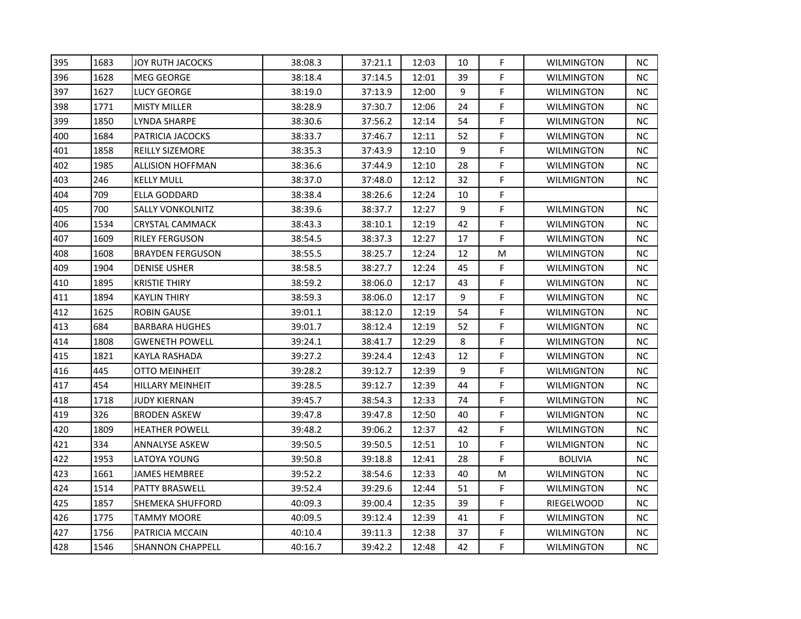| 395 | 1683 | <b>JOY RUTH JACOCKS</b> | 38:08.3 | 37:21.1 | 12:03 | 10 | F  | <b>WILMINGTON</b> | <b>NC</b> |
|-----|------|-------------------------|---------|---------|-------|----|----|-------------------|-----------|
| 396 | 1628 | <b>MEG GEORGE</b>       | 38:18.4 | 37:14.5 | 12:01 | 39 | F  | WILMINGTON        | NC.       |
| 397 | 1627 | LUCY GEORGE             | 38:19.0 | 37:13.9 | 12:00 | 9  | F  | <b>WILMINGTON</b> | NC        |
| 398 | 1771 | <b>MISTY MILLER</b>     | 38:28.9 | 37:30.7 | 12:06 | 24 | F  | <b>WILMINGTON</b> | NC.       |
| 399 | 1850 | LYNDA SHARPE            | 38:30.6 | 37:56.2 | 12:14 | 54 | F  | <b>WILMINGTON</b> | <b>NC</b> |
| 400 | 1684 | PATRICIA JACOCKS        | 38:33.7 | 37:46.7 | 12:11 | 52 | F  | <b>WILMINGTON</b> | NC.       |
| 401 | 1858 | <b>REILLY SIZEMORE</b>  | 38:35.3 | 37:43.9 | 12:10 | 9  | F  | <b>WILMINGTON</b> | NC.       |
| 402 | 1985 | <b>ALLISION HOFFMAN</b> | 38:36.6 | 37:44.9 | 12:10 | 28 | F  | <b>WILMINGTON</b> | NC.       |
| 403 | 246  | <b>KELLY MULL</b>       | 38:37.0 | 37:48.0 | 12:12 | 32 | F  | <b>WILMIGNTON</b> | <b>NC</b> |
| 404 | 709  | ELLA GODDARD            | 38:38.4 | 38:26.6 | 12:24 | 10 | F  |                   |           |
| 405 | 700  | <b>SALLY VONKOLNITZ</b> | 38:39.6 | 38:37.7 | 12:27 | 9  | F  | <b>WILMINGTON</b> | NC.       |
| 406 | 1534 | CRYSTAL CAMMACK         | 38:43.3 | 38:10.1 | 12:19 | 42 | F  | <b>WILMINGTON</b> | NC.       |
| 407 | 1609 | <b>RILEY FERGUSON</b>   | 38:54.5 | 38:37.3 | 12:27 | 17 | F  | WILMINGTON        | NC.       |
| 408 | 1608 | <b>BRAYDEN FERGUSON</b> | 38:55.5 | 38:25.7 | 12:24 | 12 | M  | WILMINGTON        | NC.       |
| 409 | 1904 | <b>DENISE USHER</b>     | 38:58.5 | 38:27.7 | 12:24 | 45 | F  | <b>WILMINGTON</b> | NC.       |
| 410 | 1895 | <b>KRISTIE THIRY</b>    | 38:59.2 | 38:06.0 | 12:17 | 43 | F  | <b>WILMINGTON</b> | <b>NC</b> |
| 411 | 1894 | KAYLIN THIRY            | 38:59.3 | 38:06.0 | 12:17 | 9  | F  | <b>WILMINGTON</b> | <b>NC</b> |
| 412 | 1625 | <b>ROBIN GAUSE</b>      | 39:01.1 | 38:12.0 | 12:19 | 54 | F  | <b>WILMINGTON</b> | NC.       |
| 413 | 684  | BARBARA HUGHES          | 39:01.7 | 38:12.4 | 12:19 | 52 | F  | WILMIGNTON        | NC.       |
| 414 | 1808 | <b>GWENETH POWELL</b>   | 39:24.1 | 38:41.7 | 12:29 | 8  | F. | <b>WILMINGTON</b> | NC.       |
| 415 | 1821 | KAYLA RASHADA           | 39:27.2 | 39:24.4 | 12:43 | 12 | F  | <b>WILMINGTON</b> | NC.       |
| 416 | 445  | <b>OTTO MEINHEIT</b>    | 39:28.2 | 39:12.7 | 12:39 | 9  | F  | <b>WILMIGNTON</b> | NC.       |
| 417 | 454  | HILLARY MEINHEIT        | 39:28.5 | 39:12.7 | 12:39 | 44 | F  | <b>WILMIGNTON</b> | NC.       |
| 418 | 1718 | <b>JUDY KIERNAN</b>     | 39:45.7 | 38:54.3 | 12:33 | 74 | F  | <b>WILMINGTON</b> | NC.       |
| 419 | 326  | <b>BRODEN ASKEW</b>     | 39:47.8 | 39:47.8 | 12:50 | 40 | F  | <b>WILMIGNTON</b> | <b>NC</b> |
| 420 | 1809 | <b>HEATHER POWELL</b>   | 39:48.2 | 39:06.2 | 12:37 | 42 | F  | <b>WILMINGTON</b> | NC.       |
| 421 | 334  | ANNALYSE ASKEW          | 39:50.5 | 39:50.5 | 12:51 | 10 | F  | <b>WILMIGNTON</b> | NC.       |
| 422 | 1953 | LATOYA YOUNG            | 39:50.8 | 39:18.8 | 12:41 | 28 | F. | <b>BOLIVIA</b>    | NC.       |
| 423 | 1661 | JAMES HEMBREE           | 39:52.2 | 38:54.6 | 12:33 | 40 | м  | <b>WILMINGTON</b> | <b>NC</b> |
| 424 | 1514 | <b>PATTY BRASWELL</b>   | 39:52.4 | 39:29.6 | 12:44 | 51 | F  | <b>WILMINGTON</b> | NC.       |
| 425 | 1857 | SHEMEKA SHUFFORD        | 40:09.3 | 39:00.4 | 12:35 | 39 | F  | RIEGELWOOD        | NC.       |
| 426 | 1775 | TAMMY MOORE             | 40:09.5 | 39:12.4 | 12:39 | 41 | F  | <b>WILMINGTON</b> | <b>NC</b> |
| 427 | 1756 | PATRICIA MCCAIN         | 40:10.4 | 39:11.3 | 12:38 | 37 | F  | <b>WILMINGTON</b> | NC.       |
| 428 | 1546 | <b>SHANNON CHAPPELL</b> | 40:16.7 | 39:42.2 | 12:48 | 42 | F  | WILMINGTON        | NC.       |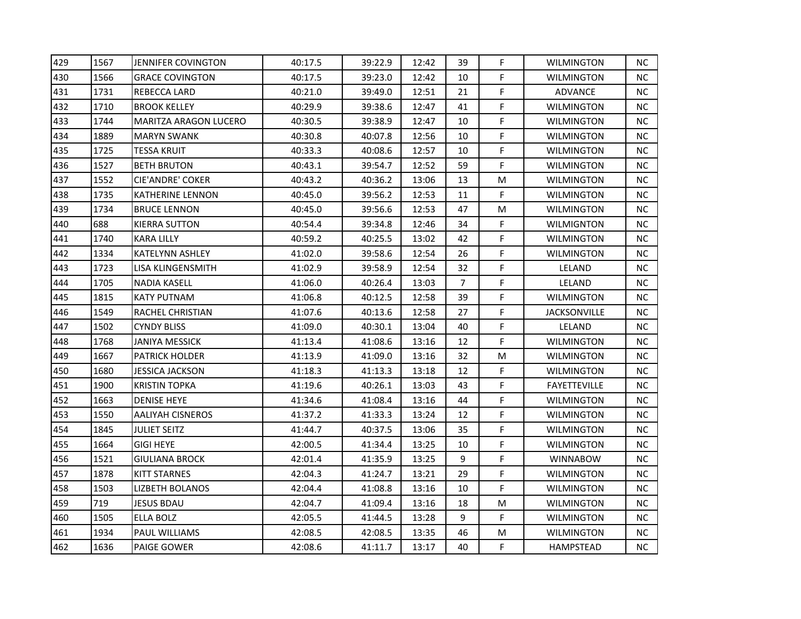| 429 | 1567 | <b>JENNIFER COVINGTON</b> | 40:17.5 | 39:22.9 | 12:42 | 39 | F           | <b>WILMINGTON</b>   | <b>NC</b> |
|-----|------|---------------------------|---------|---------|-------|----|-------------|---------------------|-----------|
| 430 | 1566 | <b>GRACE COVINGTON</b>    | 40:17.5 | 39:23.0 | 12:42 | 10 | F           | <b>WILMINGTON</b>   | <b>NC</b> |
| 431 | 1731 | REBECCA LARD              | 40:21.0 | 39:49.0 | 12:51 | 21 | F           | ADVANCE             | <b>NC</b> |
| 432 | 1710 | BROOK KELLEY              | 40:29.9 | 39:38.6 | 12:47 | 41 | F           | <b>WILMINGTON</b>   | NC.       |
| 433 | 1744 | MARITZA ARAGON LUCERO     | 40:30.5 | 39:38.9 | 12:47 | 10 | F           | <b>WILMINGTON</b>   | NC.       |
| 434 | 1889 | <b>MARYN SWANK</b>        | 40:30.8 | 40:07.8 | 12:56 | 10 | F           | WILMINGTON          | <b>NC</b> |
| 435 | 1725 | TESSA KRUIT               | 40:33.3 | 40:08.6 | 12:57 | 10 | F           | <b>WILMINGTON</b>   | NC.       |
| 436 | 1527 | <b>BETH BRUTON</b>        | 40:43.1 | 39:54.7 | 12:52 | 59 | F           | <b>WILMINGTON</b>   | <b>NC</b> |
| 437 | 1552 | CIE'ANDRE' COKER          | 40:43.2 | 40:36.2 | 13:06 | 13 | M           | <b>WILMINGTON</b>   | <b>NC</b> |
| 438 | 1735 | KATHERINE LENNON          | 40:45.0 | 39:56.2 | 12:53 | 11 | F           | <b>WILMINGTON</b>   | NC.       |
| 439 | 1734 | BRUCE LENNON              | 40:45.0 | 39:56.6 | 12:53 | 47 | M           | <b>WILMINGTON</b>   | NC.       |
| 440 | 688  | <b>KIERRA SUTTON</b>      | 40:54.4 | 39:34.8 | 12:46 | 34 | F           | <b>WILMIGNTON</b>   | NC.       |
| 441 | 1740 | KARA LILLY                | 40:59.2 | 40:25.5 | 13:02 | 42 | F           | <b>WILMINGTON</b>   | NC.       |
| 442 | 1334 | KATELYNN ASHLEY           | 41:02.0 | 39:58.6 | 12:54 | 26 | F           | <b>WILMINGTON</b>   | <b>NC</b> |
| 443 | 1723 | LISA KLINGENSMITH         | 41:02.9 | 39:58.9 | 12:54 | 32 | F           | LELAND              | <b>NC</b> |
| 444 | 1705 | NADIA KASELL              | 41:06.0 | 40:26.4 | 13:03 | 7  | $\mathsf F$ | LELAND              | NC.       |
| 445 | 1815 | KATY PUTNAM               | 41:06.8 | 40:12.5 | 12:58 | 39 | F           | <b>WILMINGTON</b>   | NС        |
| 446 | 1549 | RACHEL CHRISTIAN          | 41:07.6 | 40:13.6 | 12:58 | 27 | F           | <b>JACKSONVILLE</b> | NC        |
| 447 | 1502 | CYNDY BLISS               | 41:09.0 | 40:30.1 | 13:04 | 40 | F           | LELAND              | <b>NC</b> |
| 448 | 1768 | JANIYA MESSICK            | 41:13.4 | 41:08.6 | 13:16 | 12 | F           | <b>WILMINGTON</b>   | NC.       |
| 449 | 1667 | PATRICK HOLDER            | 41:13.9 | 41:09.0 | 13:16 | 32 | M           | <b>WILMINGTON</b>   | NC.       |
| 450 | 1680 | <b>JESSICA JACKSON</b>    | 41:18.3 | 41:13.3 | 13:18 | 12 | F           | <b>WILMINGTON</b>   | NC.       |
| 451 | 1900 | KRISTIN TOPKA             | 41:19.6 | 40:26.1 | 13:03 | 43 | F           | <b>FAYETTEVILLE</b> | <b>NC</b> |
| 452 | 1663 | <b>DENISE HEYE</b>        | 41:34.6 | 41:08.4 | 13:16 | 44 | F           | <b>WILMINGTON</b>   | <b>NC</b> |
| 453 | 1550 | AALIYAH CISNEROS          | 41:37.2 | 41:33.3 | 13:24 | 12 | F           | <b>WILMINGTON</b>   | NC.       |
| 454 | 1845 | JULIET SEITZ              | 41:44.7 | 40:37.5 | 13:06 | 35 | F           | WILMINGTON          | NC        |
| 455 | 1664 | GIGI HEYE                 | 42:00.5 | 41:34.4 | 13:25 | 10 | F           | <b>WILMINGTON</b>   | <b>NC</b> |
| 456 | 1521 | <b>GIULIANA BROCK</b>     | 42:01.4 | 41:35.9 | 13:25 | 9  | F           | <b>WINNABOW</b>     | <b>NC</b> |
| 457 | 1878 | <b>KITT STARNES</b>       | 42:04.3 | 41:24.7 | 13:21 | 29 | F           | WILMINGTON          | <b>NC</b> |
| 458 | 1503 | LIZBETH BOLANOS           | 42:04.4 | 41:08.8 | 13:16 | 10 | F           | <b>WILMINGTON</b>   | NC.       |
| 459 | 719  | <b>JESUS BDAU</b>         | 42:04.7 | 41:09.4 | 13:16 | 18 | M           | <b>WILMINGTON</b>   | NC.       |
| 460 | 1505 | ELLA BOLZ                 | 42:05.5 | 41:44.5 | 13:28 | 9  | F           | <b>WILMINGTON</b>   | NC.       |
| 461 | 1934 | PAUL WILLIAMS             | 42:08.5 | 42:08.5 | 13:35 | 46 | M           | <b>WILMINGTON</b>   | NC.       |
| 462 | 1636 | PAIGE GOWER               | 42:08.6 | 41:11.7 | 13:17 | 40 | $\mathsf F$ | <b>HAMPSTEAD</b>    | NC        |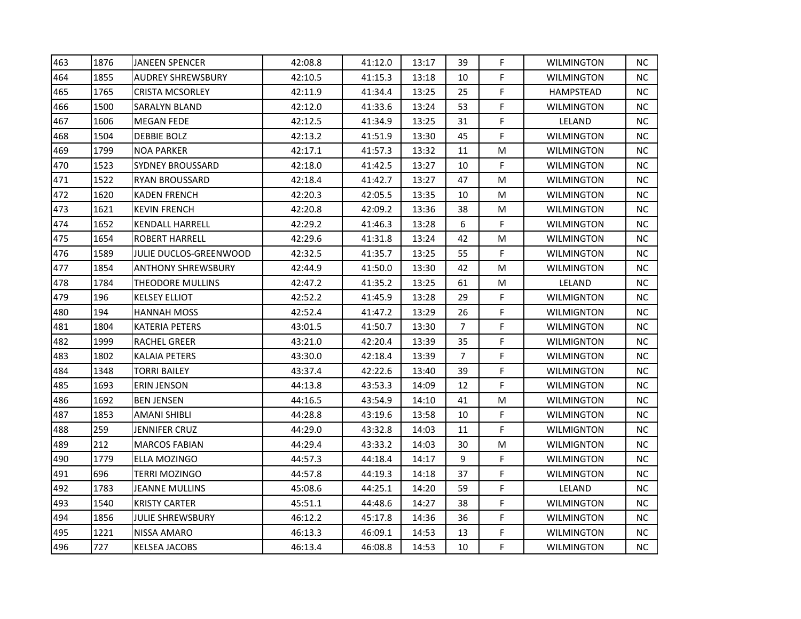| 463 | 1876 | <b>JANEEN SPENCER</b>     | 42:08.8 | 41:12.0 | 13:17 | 39             | F. | <b>WILMINGTON</b> | NC.       |
|-----|------|---------------------------|---------|---------|-------|----------------|----|-------------------|-----------|
| 464 | 1855 | <b>AUDREY SHREWSBURY</b>  | 42:10.5 | 41:15.3 | 13:18 | 10             | F  | <b>WILMINGTON</b> | <b>NC</b> |
| 465 | 1765 | <b>CRISTA MCSORLEY</b>    | 42:11.9 | 41:34.4 | 13:25 | 25             | F  | HAMPSTEAD         | <b>NC</b> |
| 466 | 1500 | SARALYN BLAND             | 42:12.0 | 41:33.6 | 13:24 | 53             | F. | <b>WILMINGTON</b> | NC.       |
| 467 | 1606 | <b>MEGAN FEDE</b>         | 42:12.5 | 41:34.9 | 13:25 | 31             | F. | LELAND            | <b>NC</b> |
| 468 | 1504 | <b>DEBBIE BOLZ</b>        | 42:13.2 | 41:51.9 | 13:30 | 45             | F  | <b>WILMINGTON</b> | <b>NC</b> |
| 469 | 1799 | <b>NOA PARKER</b>         | 42:17.1 | 41:57.3 | 13:32 | 11             | М  | <b>WILMINGTON</b> | NC.       |
| 470 | 1523 | <b>SYDNEY BROUSSARD</b>   | 42:18.0 | 41:42.5 | 13:27 | 10             | F  | <b>WILMINGTON</b> | NC.       |
| 471 | 1522 | <b>RYAN BROUSSARD</b>     | 42:18.4 | 41:42.7 | 13:27 | 47             | М  | <b>WILMINGTON</b> | NC.       |
| 472 | 1620 | <b>KADEN FRENCH</b>       | 42:20.3 | 42:05.5 | 13:35 | 10             | М  | <b>WILMINGTON</b> | <b>NC</b> |
| 473 | 1621 | <b>KEVIN FRENCH</b>       | 42:20.8 | 42:09.2 | 13:36 | 38             | M  | <b>WILMINGTON</b> | <b>NC</b> |
| 474 | 1652 | <b>KENDALL HARRELL</b>    | 42:29.2 | 41:46.3 | 13:28 | 6              | F  | <b>WILMINGTON</b> | NC.       |
| 475 | 1654 | <b>ROBERT HARRELL</b>     | 42:29.6 | 41:31.8 | 13:24 | 42             | М  | WILMINGTON        | NC.       |
| 476 | 1589 | JULIE DUCLOS-GREENWOOD    | 42:32.5 | 41:35.7 | 13:25 | 55             | F  | <b>WILMINGTON</b> | NC.       |
| 477 | 1854 | <b>ANTHONY SHREWSBURY</b> | 42:44.9 | 41:50.0 | 13:30 | 42             | м  | <b>WILMINGTON</b> | NC.       |
| 478 | 1784 | <b>THEODORE MULLINS</b>   | 42:47.2 | 41:35.2 | 13:25 | 61             | М  | LELAND            | <b>NC</b> |
| 479 | 196  | <b>KELSEY ELLIOT</b>      | 42:52.2 | 41:45.9 | 13:28 | 29             | F. | <b>WILMIGNTON</b> | NC.       |
| 480 | 194  | <b>HANNAH MOSS</b>        | 42:52.4 | 41:47.2 | 13:29 | 26             | F  | <b>WILMIGNTON</b> | NC.       |
| 481 | 1804 | KATERIA PETERS            | 43:01.5 | 41:50.7 | 13:30 | $\overline{7}$ | F  | <b>WILMINGTON</b> | <b>NC</b> |
| 482 | 1999 | RACHEL GREER              | 43:21.0 | 42:20.4 | 13:39 | 35             | F. | WILMIGNTON        | NC.       |
| 483 | 1802 | <b>KALAIA PETERS</b>      | 43:30.0 | 42:18.4 | 13:39 | $\overline{7}$ | F  | <b>WILMINGTON</b> | NC.       |
| 484 | 1348 | <b>TORRI BAILEY</b>       | 43:37.4 | 42:22.6 | 13:40 | 39             | F  | <b>WILMINGTON</b> | <b>NC</b> |
| 485 | 1693 | ERIN JENSON               | 44:13.8 | 43:53.3 | 14:09 | 12             | F  | <b>WILMINGTON</b> | NC.       |
| 486 | 1692 | <b>BEN JENSEN</b>         | 44:16.5 | 43:54.9 | 14:10 | 41             | M  | <b>WILMINGTON</b> | <b>NC</b> |
| 487 | 1853 | AMANI SHIBLI              | 44:28.8 | 43:19.6 | 13:58 | 10             | F  | <b>WILMINGTON</b> | NC.       |
| 488 | 259  | JENNIFER CRUZ             | 44:29.0 | 43:32.8 | 14:03 | 11             | F  | WILMIGNTON        | <b>NC</b> |
| 489 | 212  | <b>MARCOS FABIAN</b>      | 44:29.4 | 43:33.2 | 14:03 | 30             | М  | <b>WILMIGNTON</b> | NC.       |
| 490 | 1779 | ELLA MOZINGO              | 44:57.3 | 44:18.4 | 14:17 | 9              | F. | <b>WILMINGTON</b> | NC.       |
| 491 | 696  | TERRI MOZINGO             | 44:57.8 | 44:19.3 | 14:18 | 37             | F  | <b>WILMINGTON</b> | <b>NC</b> |
| 492 | 1783 | JEANNE MULLINS            | 45:08.6 | 44:25.1 | 14:20 | 59             | F  | LELAND            | NC.       |
| 493 | 1540 | <b>KRISTY CARTER</b>      | 45:51.1 | 44:48.6 | 14:27 | 38             | F  | WILMINGTON        | <b>NC</b> |
| 494 | 1856 | JULIE SHREWSBURY          | 46:12.2 | 45:17.8 | 14:36 | 36             | F  | <b>WILMINGTON</b> | <b>NC</b> |
| 495 | 1221 | NISSA AMARO               | 46:13.3 | 46:09.1 | 14:53 | 13             | F  | WILMINGTON        | NC.       |
| 496 | 727  | <b>KELSEA JACOBS</b>      | 46:13.4 | 46:08.8 | 14:53 | 10             | F  | WILMINGTON        | NC.       |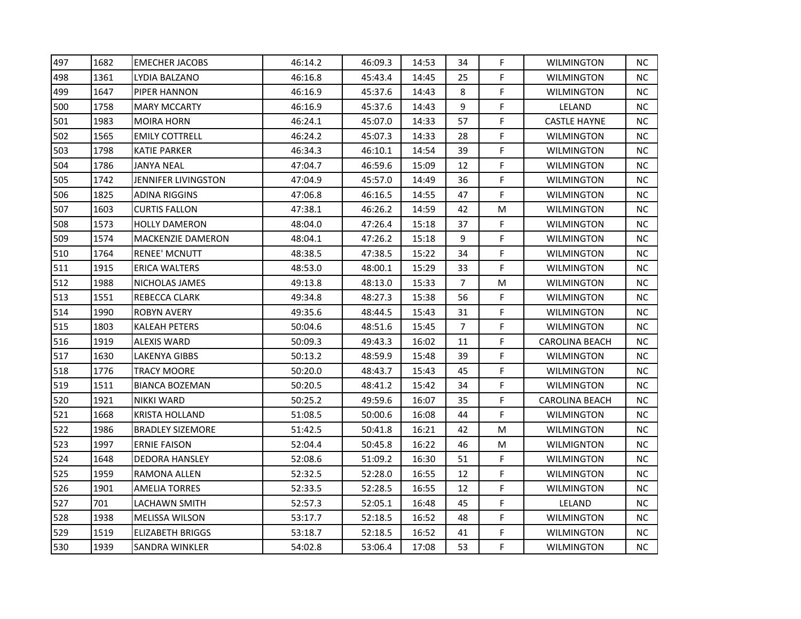| 497 | 1682 | <b>EMECHER JACOBS</b>   | 46:14.2 | 46:09.3 | 14:53 | 34             | F | <b>WILMINGTON</b>     | <b>NC</b> |
|-----|------|-------------------------|---------|---------|-------|----------------|---|-----------------------|-----------|
| 498 | 1361 | LYDIA BALZANO           | 46:16.8 | 45:43.4 | 14:45 | 25             | F | <b>WILMINGTON</b>     | <b>NC</b> |
| 499 | 1647 | PIPER HANNON            | 46:16.9 | 45:37.6 | 14:43 | 8              | F | WILMINGTON            | <b>NC</b> |
| 500 | 1758 | MARY MCCARTY            | 46:16.9 | 45:37.6 | 14:43 | 9              | F | LELAND                | NC.       |
| 501 | 1983 | MOIRA HORN              | 46:24.1 | 45:07.0 | 14:33 | 57             | F | <b>CASTLE HAYNE</b>   | NC.       |
| 502 | 1565 | EMILY COTTRELL          | 46:24.2 | 45:07.3 | 14:33 | 28             | F | <b>WILMINGTON</b>     | <b>NC</b> |
| 503 | 1798 | KATIE PARKER            | 46:34.3 | 46:10.1 | 14:54 | 39             | F | <b>WILMINGTON</b>     | NC.       |
| 504 | 1786 | JANYA NEAL              | 47:04.7 | 46:59.6 | 15:09 | 12             | F | <b>WILMINGTON</b>     | <b>NC</b> |
| 505 | 1742 | JENNIFER LIVINGSTON     | 47:04.9 | 45:57.0 | 14:49 | 36             | F | <b>WILMINGTON</b>     | <b>NC</b> |
| 506 | 1825 | ADINA RIGGINS           | 47:06.8 | 46:16.5 | 14:55 | 47             | F | <b>WILMINGTON</b>     | NC.       |
| 507 | 1603 | CURTIS FALLON           | 47:38.1 | 46:26.2 | 14:59 | 42             | M | <b>WILMINGTON</b>     | NC.       |
| 508 | 1573 | <b>HOLLY DAMERON</b>    | 48:04.0 | 47:26.4 | 15:18 | 37             | F | <b>WILMINGTON</b>     | NC.       |
| 509 | 1574 | MACKENZIE DAMERON       | 48:04.1 | 47:26.2 | 15:18 | 9              | F | <b>WILMINGTON</b>     | NC.       |
| 510 | 1764 | <b>RENEE' MCNUTT</b>    | 48:38.5 | 47:38.5 | 15:22 | 34             | F | WILMINGTON            | <b>NC</b> |
| 511 | 1915 | ERICA WALTERS           | 48:53.0 | 48:00.1 | 15:29 | 33             | F | <b>WILMINGTON</b>     | <b>NC</b> |
| 512 | 1988 | NICHOLAS JAMES          | 49:13.8 | 48:13.0 | 15:33 | 7              | M | <b>WILMINGTON</b>     | NC.       |
| 513 | 1551 | REBECCA CLARK           | 49:34.8 | 48:27.3 | 15:38 | 56             | F | <b>WILMINGTON</b>     | NС        |
| 514 | 1990 | ROBYN AVERY             | 49:35.6 | 48:44.5 | 15:43 | 31             | F | <b>WILMINGTON</b>     | NC        |
| 515 | 1803 | KALEAH PETERS           | 50:04.6 | 48:51.6 | 15:45 | $\overline{7}$ | F | <b>WILMINGTON</b>     | <b>NC</b> |
| 516 | 1919 | ALEXIS WARD             | 50:09.3 | 49:43.3 | 16:02 | 11             | F | <b>CAROLINA BEACH</b> | NC.       |
| 517 | 1630 | LAKENYA GIBBS           | 50:13.2 | 48:59.9 | 15:48 | 39             | F | <b>WILMINGTON</b>     | NC.       |
| 518 | 1776 | TRACY MOORE             | 50:20.0 | 48:43.7 | 15:43 | 45             | F | <b>WILMINGTON</b>     | NC.       |
| 519 | 1511 | <b>BIANCA BOZEMAN</b>   | 50:20.5 | 48:41.2 | 15:42 | 34             | F | <b>WILMINGTON</b>     | NC        |
| 520 | 1921 | NIKKI WARD              | 50:25.2 | 49:59.6 | 16:07 | 35             | F | <b>CAROLINA BEACH</b> | <b>NC</b> |
| 521 | 1668 | KRISTA HOLLAND          | 51:08.5 | 50:00.6 | 16:08 | 44             | F | <b>WILMINGTON</b>     | NC.       |
| 522 | 1986 | BRADLEY SIZEMORE        | 51:42.5 | 50:41.8 | 16:21 | 42             | M | WILMINGTON            | NC        |
| 523 | 1997 | ERNIE FAISON            | 52:04.4 | 50:45.8 | 16:22 | 46             | M | <b>WILMIGNTON</b>     | <b>NC</b> |
| 524 | 1648 | DEDORA HANSLEY          | 52:08.6 | 51:09.2 | 16:30 | 51             | F | <b>WILMINGTON</b>     | <b>NC</b> |
| 525 | 1959 | RAMONA ALLEN            | 52:32.5 | 52:28.0 | 16:55 | 12             | F | WILMINGTON            | <b>NC</b> |
| 526 | 1901 | AMELIA TORRES           | 52:33.5 | 52:28.5 | 16:55 | 12             | F | <b>WILMINGTON</b>     | NC.       |
| 527 | 701  | LACHAWN SMITH           | 52:57.3 | 52:05.1 | 16:48 | 45             | F | LELAND                | NC        |
| 528 | 1938 | <b>MELISSA WILSON</b>   | 53:17.7 | 52:18.5 | 16:52 | 48             | F | <b>WILMINGTON</b>     | <b>NC</b> |
| 529 | 1519 | <b>ELIZABETH BRIGGS</b> | 53:18.7 | 52:18.5 | 16:52 | 41             | F | <b>WILMINGTON</b>     | NC.       |
| 530 | 1939 | SANDRA WINKLER          | 54:02.8 | 53:06.4 | 17:08 | 53             | F | <b>WILMINGTON</b>     | NC.       |
|     |      |                         |         |         |       |                |   |                       |           |